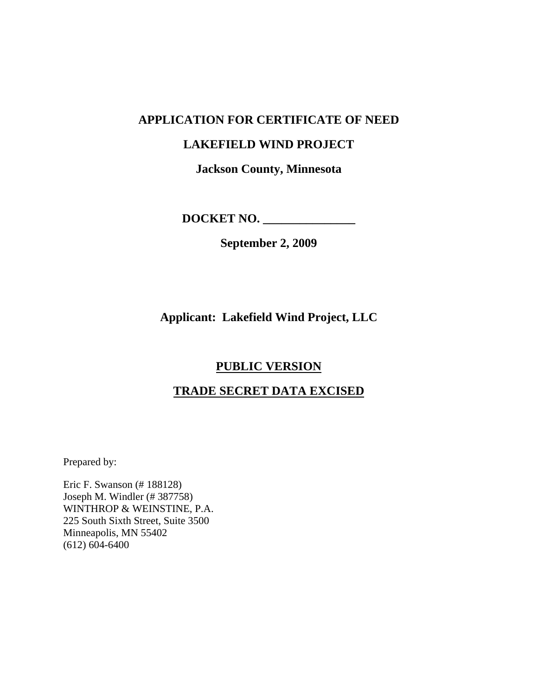## **APPLICATION FOR CERTIFICATE OF NEED**

## **LAKEFIELD WIND PROJECT**

**Jackson County, Minnesota** 

**DOCKET NO. \_\_\_\_\_\_\_\_\_\_\_\_\_\_\_** 

**September 2, 2009** 

**Applicant: Lakefield Wind Project, LLC** 

## **PUBLIC VERSION**

## **TRADE SECRET DATA EXCISED**

Prepared by:

Eric F. Swanson (# 188128) Joseph M. Windler (# 387758) WINTHROP & WEINSTINE, P.A. 225 South Sixth Street, Suite 3500 Minneapolis, MN 55402 (612) 604-6400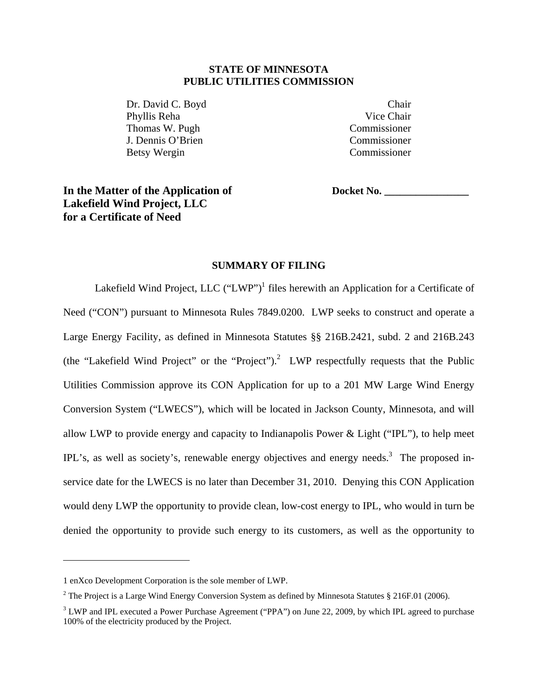### **STATE OF MINNESOTA PUBLIC UTILITIES COMMISSION**

Dr. David C. Boyd Chair Phyllis Reha Vice Chair Thomas W. Pugh Commissioner J. Dennis O'Brien Commissioner Betsy Wergin Commissioner

## In the Matter of the Application of Docket No. **Lakefield Wind Project, LLC for a Certificate of Need**

### **SUMMARY OF FILING**

Lakefield Wind Project, LLC  $("LWP")^1$  files herewith an Application for a Certificate of Need ("CON") pursuant to Minnesota Rules 7849.0200. LWP seeks to construct and operate a Large Energy Facility, as defined in Minnesota Statutes §§ 216B.2421, subd. 2 and 216B.243 (the "Lakefield Wind Project" or the "Project").<sup>2</sup> LWP respectfully requests that the Public Utilities Commission approve its CON Application for up to a 201 MW Large Wind Energy Conversion System ("LWECS"), which will be located in Jackson County, Minnesota, and will allow LWP to provide energy and capacity to Indianapolis Power & Light ("IPL"), to help meet IPL's, as well as society's, renewable energy objectives and energy needs.<sup>3</sup> The proposed inservice date for the LWECS is no later than December 31, 2010. Denying this CON Application would deny LWP the opportunity to provide clean, low-cost energy to IPL, who would in turn be denied the opportunity to provide such energy to its customers, as well as the opportunity to

<sup>1</sup> enXco Development Corporation is the sole member of LWP.

<sup>&</sup>lt;sup>2</sup> The Project is a Large Wind Energy Conversion System as defined by Minnesota Statutes § 216F.01 (2006).

 $3$  LWP and IPL executed a Power Purchase Agreement ("PPA") on June 22, 2009, by which IPL agreed to purchase 100% of the electricity produced by the Project.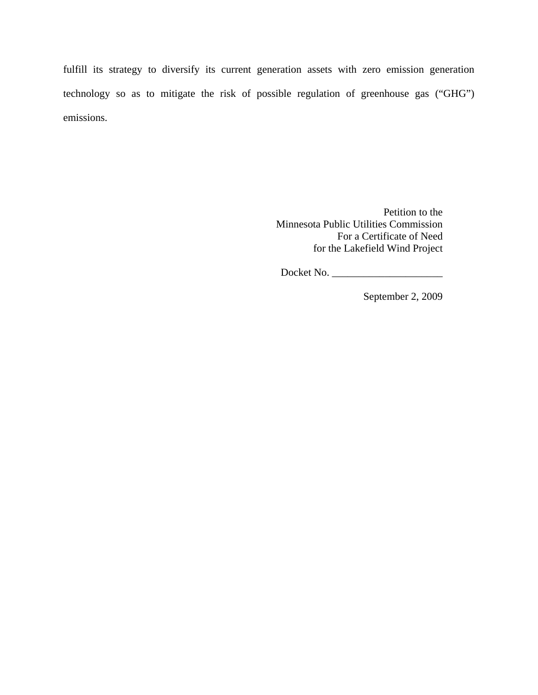fulfill its strategy to diversify its current generation assets with zero emission generation technology so as to mitigate the risk of possible regulation of greenhouse gas ("GHG") emissions.

> Petition to the Minnesota Public Utilities Commission For a Certificate of Need for the Lakefield Wind Project

Docket No. \_\_\_\_\_\_\_\_\_\_\_\_\_\_\_\_\_\_\_\_\_

September 2, 2009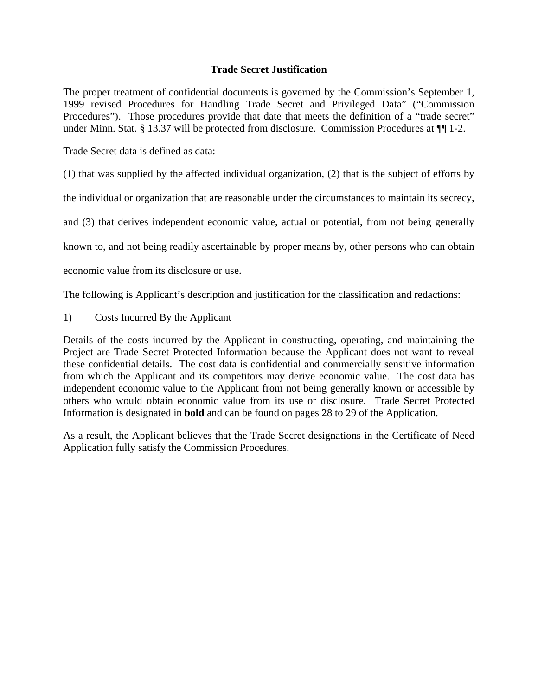### **Trade Secret Justification**

The proper treatment of confidential documents is governed by the Commission's September 1, 1999 revised Procedures for Handling Trade Secret and Privileged Data" ("Commission Procedures"). Those procedures provide that date that meets the definition of a "trade secret" under Minn. Stat. § 13.37 will be protected from disclosure. Commission Procedures at  $\P$  1-2.

Trade Secret data is defined as data:

(1) that was supplied by the affected individual organization, (2) that is the subject of efforts by

the individual or organization that are reasonable under the circumstances to maintain its secrecy,

and (3) that derives independent economic value, actual or potential, from not being generally

known to, and not being readily ascertainable by proper means by, other persons who can obtain

economic value from its disclosure or use.

The following is Applicant's description and justification for the classification and redactions:

1) Costs Incurred By the Applicant

Details of the costs incurred by the Applicant in constructing, operating, and maintaining the Project are Trade Secret Protected Information because the Applicant does not want to reveal these confidential details. The cost data is confidential and commercially sensitive information from which the Applicant and its competitors may derive economic value. The cost data has independent economic value to the Applicant from not being generally known or accessible by others who would obtain economic value from its use or disclosure. Trade Secret Protected Information is designated in **bold** and can be found on pages 28 to 29 of the Application.

As a result, the Applicant believes that the Trade Secret designations in the Certificate of Need Application fully satisfy the Commission Procedures.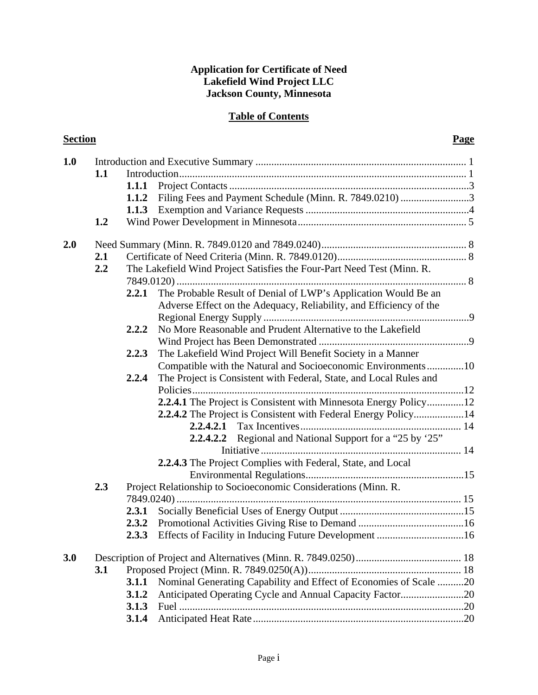## **Application for Certificate of Need Lakefield Wind Project LLC Jackson County, Minnesota**

## **Table of Contents**

| <b>Section</b> | <b>Page</b> |
|----------------|-------------|

| 1.0 |     |       |                                                                        |  |  |
|-----|-----|-------|------------------------------------------------------------------------|--|--|
|     | 1.1 |       |                                                                        |  |  |
|     |     |       |                                                                        |  |  |
|     |     |       |                                                                        |  |  |
|     |     |       |                                                                        |  |  |
|     | 1.2 |       |                                                                        |  |  |
| 2.0 |     |       |                                                                        |  |  |
|     | 2.1 |       |                                                                        |  |  |
|     | 2.2 |       | The Lakefield Wind Project Satisfies the Four-Part Need Test (Minn. R. |  |  |
|     |     |       |                                                                        |  |  |
|     |     | 2.2.1 | The Probable Result of Denial of LWP's Application Would Be an         |  |  |
|     |     |       | Adverse Effect on the Adequacy, Reliability, and Efficiency of the     |  |  |
|     |     |       |                                                                        |  |  |
|     |     | 2.2.2 | No More Reasonable and Prudent Alternative to the Lakefield            |  |  |
|     |     |       |                                                                        |  |  |
|     |     | 2.2.3 | The Lakefield Wind Project Will Benefit Society in a Manner            |  |  |
|     |     |       | Compatible with the Natural and Socioeconomic Environments10           |  |  |
|     |     | 2.2.4 | The Project is Consistent with Federal, State, and Local Rules and     |  |  |
|     |     |       |                                                                        |  |  |
|     |     |       | 2.2.4.1 The Project is Consistent with Minnesota Energy Policy12       |  |  |
|     |     |       | 2.2.4.2 The Project is Consistent with Federal Energy Policy14         |  |  |
|     |     |       |                                                                        |  |  |
|     |     |       | 2.2.4.2.2 Regional and National Support for a "25 by '25"              |  |  |
|     |     |       |                                                                        |  |  |
|     |     |       | 2.2.4.3 The Project Complies with Federal, State, and Local            |  |  |
|     |     |       |                                                                        |  |  |
|     | 2.3 |       | Project Relationship to Socioeconomic Considerations (Minn. R.         |  |  |
|     |     |       |                                                                        |  |  |
|     |     | 2.3.1 |                                                                        |  |  |
|     |     |       |                                                                        |  |  |
|     |     | 2.3.3 |                                                                        |  |  |
|     |     |       |                                                                        |  |  |
| 3.0 |     |       |                                                                        |  |  |
|     | 3.1 |       |                                                                        |  |  |
|     |     | 3.1.1 | Nominal Generating Capability and Effect of Economies of Scale 20      |  |  |
|     |     | 3.1.2 | Anticipated Operating Cycle and Annual Capacity Factor20               |  |  |
|     |     | 3.1.3 |                                                                        |  |  |
|     |     | 3.1.4 |                                                                        |  |  |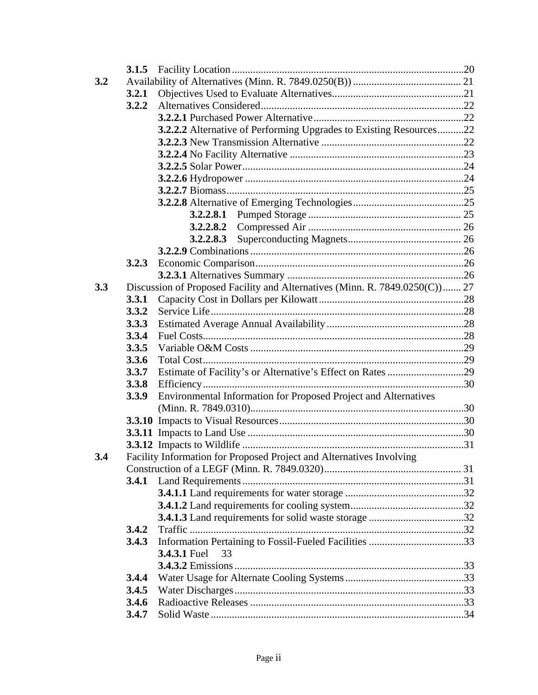| 3.2 |       |                                                                             |  |
|-----|-------|-----------------------------------------------------------------------------|--|
|     | 3.2.1 |                                                                             |  |
|     |       |                                                                             |  |
|     |       |                                                                             |  |
|     |       | 3.2.2.2 Alternative of Performing Upgrades to Existing Resources22          |  |
|     |       |                                                                             |  |
|     |       |                                                                             |  |
|     |       |                                                                             |  |
|     |       |                                                                             |  |
|     |       |                                                                             |  |
|     |       |                                                                             |  |
|     |       | 3.2.2.8.1                                                                   |  |
|     |       | 3.2.2.8.2                                                                   |  |
|     |       | 3.2.2.8.3                                                                   |  |
|     |       |                                                                             |  |
|     | 3.2.3 |                                                                             |  |
|     |       |                                                                             |  |
| 3.3 |       | Discussion of Proposed Facility and Alternatives (Minn. R. 7849.0250(C)) 27 |  |
|     | 3.3.1 |                                                                             |  |
|     | 3.3.2 |                                                                             |  |
|     | 3.3.3 |                                                                             |  |
|     | 3.3.4 |                                                                             |  |
|     | 3.3.5 |                                                                             |  |
|     | 3.3.6 |                                                                             |  |
|     | 3.3.7 |                                                                             |  |
|     | 3.3.8 |                                                                             |  |
|     | 3.3.9 | Environmental Information for Proposed Project and Alternatives             |  |
|     |       |                                                                             |  |
|     |       |                                                                             |  |
|     |       |                                                                             |  |
|     |       |                                                                             |  |
| 3.4 |       | Facility Information for Proposed Project and Alternatives Involving        |  |
|     |       |                                                                             |  |
|     | 3.4.1 |                                                                             |  |
|     |       |                                                                             |  |
|     |       |                                                                             |  |
|     |       |                                                                             |  |
|     | 3.4.2 |                                                                             |  |
|     | 3.4.3 |                                                                             |  |
|     |       | <b>3.4.3.1</b> Fuel<br>33                                                   |  |
|     |       |                                                                             |  |
|     | 3.4.4 |                                                                             |  |
|     | 3.4.5 |                                                                             |  |
|     | 3.4.6 |                                                                             |  |
|     | 3.4.7 |                                                                             |  |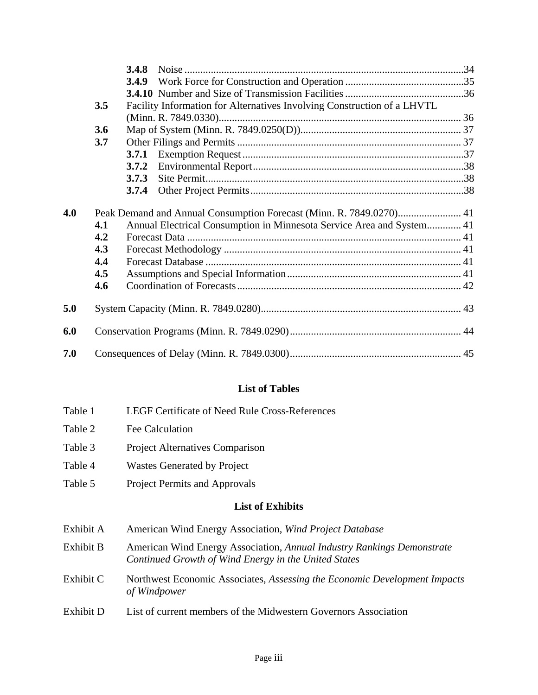|     |     | 3.4.8 |                                                                         |  |
|-----|-----|-------|-------------------------------------------------------------------------|--|
|     |     | 3.4.9 |                                                                         |  |
|     |     |       |                                                                         |  |
|     | 3.5 |       | Facility Information for Alternatives Involving Construction of a LHVTL |  |
|     |     |       |                                                                         |  |
|     | 3.6 |       |                                                                         |  |
|     | 3.7 |       |                                                                         |  |
|     |     | 3.7.1 |                                                                         |  |
|     |     | 3.7.2 |                                                                         |  |
|     |     | 3.7.3 |                                                                         |  |
|     |     | 3.7.4 |                                                                         |  |
|     |     |       |                                                                         |  |
| 4.0 |     |       |                                                                         |  |
|     | 4.1 |       | Annual Electrical Consumption in Minnesota Service Area and System 41   |  |
|     | 4.2 |       |                                                                         |  |
|     | 4.3 |       |                                                                         |  |
|     | 4.4 |       |                                                                         |  |
|     | 4.5 |       |                                                                         |  |
|     | 4.6 |       |                                                                         |  |
| 5.0 |     |       |                                                                         |  |
| 6.0 |     |       |                                                                         |  |
| 7.0 |     |       |                                                                         |  |

## **List of Tables**

- Table 1 LEGF Certificate of Need Rule Cross-References
- Table 2 Fee Calculation
- Table 3 Project Alternatives Comparison
- Table 4 Wastes Generated by Project
- Table 5 Project Permits and Approvals

### **List of Exhibits**

- Exhibit A American Wind Energy Association, *Wind Project Database*
- Exhibit B American Wind Energy Association, *Annual Industry Rankings Demonstrate Continued Growth of Wind Energy in the United States*
- Exhibit C Northwest Economic Associates, *Assessing the Economic Development Impacts of Windpower*
- Exhibit D List of current members of the Midwestern Governors Association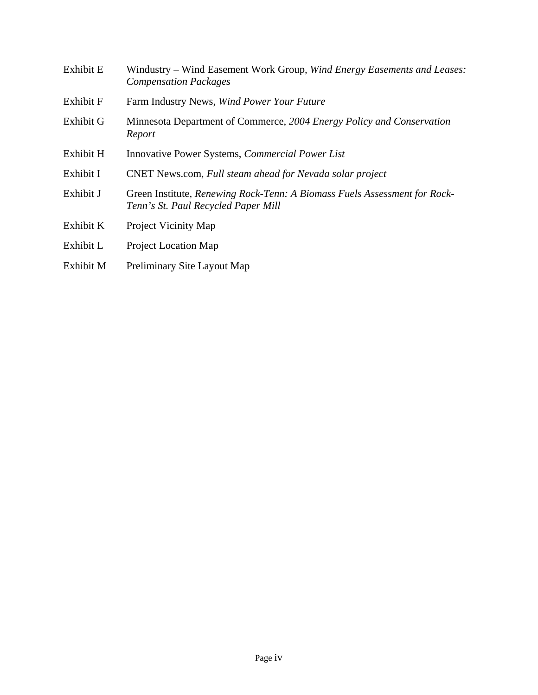| Exhibit E        | Windustry – Wind Easement Work Group, Wind Energy Easements and Leases:<br><b>Compensation Packages</b>          |
|------------------|------------------------------------------------------------------------------------------------------------------|
| <b>Exhibit F</b> | Farm Industry News, Wind Power Your Future                                                                       |
| Exhibit G        | Minnesota Department of Commerce, 2004 Energy Policy and Conservation<br>Report                                  |
| Exhibit H        | Innovative Power Systems, <i>Commercial Power List</i>                                                           |
| Exhibit I        | CNET News.com, Full steam ahead for Nevada solar project                                                         |
| Exhibit J        | Green Institute, Renewing Rock-Tenn: A Biomass Fuels Assessment for Rock-<br>Tenn's St. Paul Recycled Paper Mill |
| Exhibit K        | <b>Project Vicinity Map</b>                                                                                      |
| Exhibit L        | <b>Project Location Map</b>                                                                                      |
| Exhibit M        | Preliminary Site Layout Map                                                                                      |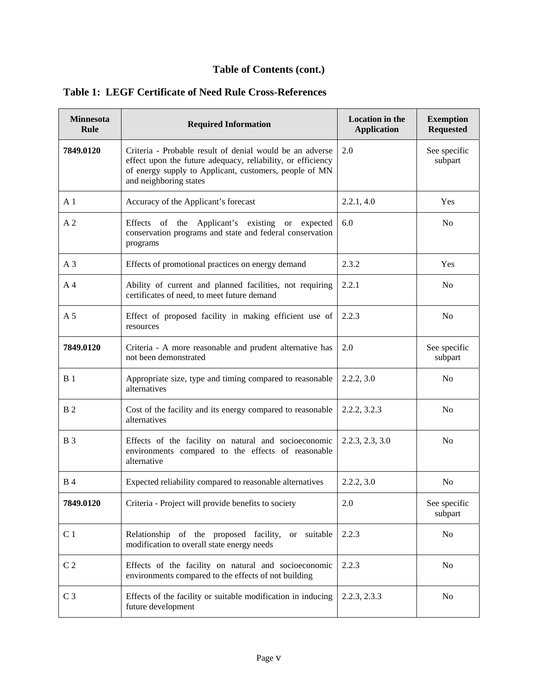## **Table of Contents (cont.)**

| <b>Minnesota</b><br><b>Rule</b> | <b>Required Information</b>                                                                                                                                                                                 | <b>Location</b> in the<br><b>Application</b> | <b>Exemption</b><br><b>Requested</b> |
|---------------------------------|-------------------------------------------------------------------------------------------------------------------------------------------------------------------------------------------------------------|----------------------------------------------|--------------------------------------|
| 7849.0120                       | Criteria - Probable result of denial would be an adverse<br>effect upon the future adequacy, reliability, or efficiency<br>of energy supply to Applicant, customers, people of MN<br>and neighboring states | 2.0                                          | See specific<br>subpart              |
| A <sub>1</sub>                  | Accuracy of the Applicant's forecast                                                                                                                                                                        | 2.2.1, 4.0                                   | Yes                                  |
| A <sub>2</sub>                  | Effects of the Applicant's existing or expected<br>conservation programs and state and federal conservation<br>programs                                                                                     | 6.0                                          | N <sub>0</sub>                       |
| A <sub>3</sub>                  | Effects of promotional practices on energy demand                                                                                                                                                           | 2.3.2                                        | Yes                                  |
| A 4                             | Ability of current and planned facilities, not requiring<br>certificates of need, to meet future demand                                                                                                     | 2.2.1                                        | No                                   |
| A 5                             | Effect of proposed facility in making efficient use of<br>resources                                                                                                                                         | 2.2.3                                        | N <sub>0</sub>                       |
| 7849.0120                       | Criteria - A more reasonable and prudent alternative has<br>not been demonstrated                                                                                                                           | 2.0                                          | See specific<br>subpart              |
| B <sub>1</sub>                  | Appropriate size, type and timing compared to reasonable<br>alternatives                                                                                                                                    | 2.2.2, 3.0                                   | N <sub>0</sub>                       |
| B <sub>2</sub>                  | Cost of the facility and its energy compared to reasonable<br>alternatives                                                                                                                                  | 2.2.2, 3.2.3                                 | N <sub>o</sub>                       |
| <b>B</b> 3                      | Effects of the facility on natural and socioeconomic<br>environments compared to the effects of reasonable<br>alternative                                                                                   | 2.2.3, 2.3, 3.0                              | N <sub>0</sub>                       |
| <b>B</b> 4                      | Expected reliability compared to reasonable alternatives                                                                                                                                                    | 2.2.2, 3.0                                   | N <sub>0</sub>                       |
| 7849.0120                       | Criteria - Project will provide benefits to society                                                                                                                                                         | $2.0\,$                                      | See specific<br>subpart              |
| C <sub>1</sub>                  | Relationship of the proposed facility,<br>or suitable<br>modification to overall state energy needs                                                                                                         | 2.2.3                                        | No                                   |
| C <sub>2</sub>                  | Effects of the facility on natural and socioeconomic<br>environments compared to the effects of not building                                                                                                | 2.2.3                                        | No                                   |
| C <sub>3</sub>                  | Effects of the facility or suitable modification in inducing<br>future development                                                                                                                          | 2.2.3, 2.3.3                                 | No                                   |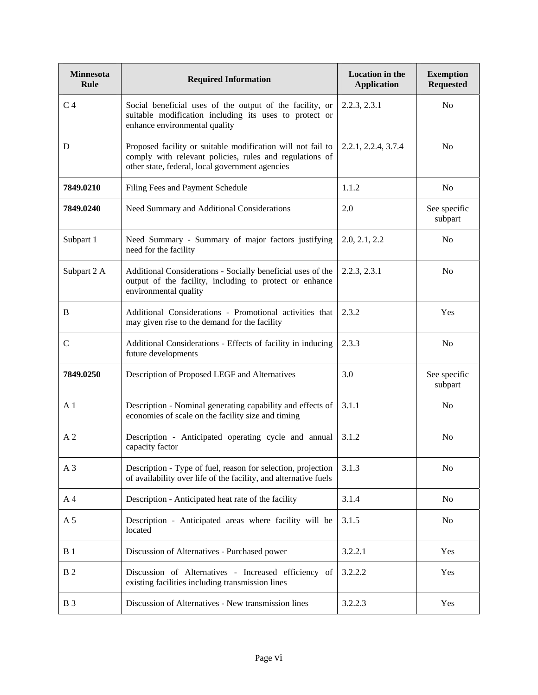| <b>Minnesota</b><br>Rule | <b>Required Information</b>                                                                                                                                               | <b>Location</b> in the<br><b>Application</b> | <b>Exemption</b><br><b>Requested</b> |
|--------------------------|---------------------------------------------------------------------------------------------------------------------------------------------------------------------------|----------------------------------------------|--------------------------------------|
| C <sub>4</sub>           | Social beneficial uses of the output of the facility, or<br>suitable modification including its uses to protect or<br>enhance environmental quality                       | 2.2.3, 2.3.1                                 | N <sub>0</sub>                       |
| D                        | Proposed facility or suitable modification will not fail to<br>comply with relevant policies, rules and regulations of<br>other state, federal, local government agencies | 2.2.1, 2.2.4, 3.7.4                          | N <sub>0</sub>                       |
| 7849.0210                | Filing Fees and Payment Schedule                                                                                                                                          | 1.1.2                                        | No                                   |
| 7849.0240                | Need Summary and Additional Considerations                                                                                                                                | 2.0                                          | See specific<br>$\mbox{subpart}$     |
| Subpart 1                | Need Summary - Summary of major factors justifying<br>need for the facility                                                                                               | 2.0, 2.1, 2.2                                | N <sub>0</sub>                       |
| Subpart 2 A              | Additional Considerations - Socially beneficial uses of the<br>output of the facility, including to protect or enhance<br>environmental quality                           | 2.2.3, 2.3.1                                 | N <sub>0</sub>                       |
| B                        | Additional Considerations - Promotional activities that<br>may given rise to the demand for the facility                                                                  | 2.3.2                                        | Yes                                  |
| $\mathcal{C}$            | Additional Considerations - Effects of facility in inducing<br>future developments                                                                                        | 2.3.3                                        | N <sub>0</sub>                       |
| 7849.0250                | Description of Proposed LEGF and Alternatives                                                                                                                             | 3.0                                          | See specific<br>subpart              |
| A <sub>1</sub>           | Description - Nominal generating capability and effects of<br>economies of scale on the facility size and timing                                                          | 3.1.1                                        | N <sub>o</sub>                       |
| A <sub>2</sub>           | Description - Anticipated operating cycle and annual<br>capacity factor                                                                                                   | 3.1.2                                        | N <sub>0</sub>                       |
| A <sub>3</sub>           | Description - Type of fuel, reason for selection, projection<br>of availability over life of the facility, and alternative fuels                                          | 3.1.3                                        | N <sub>o</sub>                       |
| A <sub>4</sub>           | Description - Anticipated heat rate of the facility                                                                                                                       | 3.1.4                                        | No                                   |
| A 5                      | Description - Anticipated areas where facility will be<br>located                                                                                                         | 3.1.5                                        | N <sub>0</sub>                       |
| <b>B</b> 1               | Discussion of Alternatives - Purchased power                                                                                                                              | 3.2.2.1                                      | Yes                                  |
| B <sub>2</sub>           | Discussion of Alternatives - Increased efficiency of<br>existing facilities including transmission lines                                                                  | 3.2.2.2                                      | Yes                                  |
| <b>B</b> 3               | Discussion of Alternatives - New transmission lines                                                                                                                       | 3.2.2.3                                      | Yes                                  |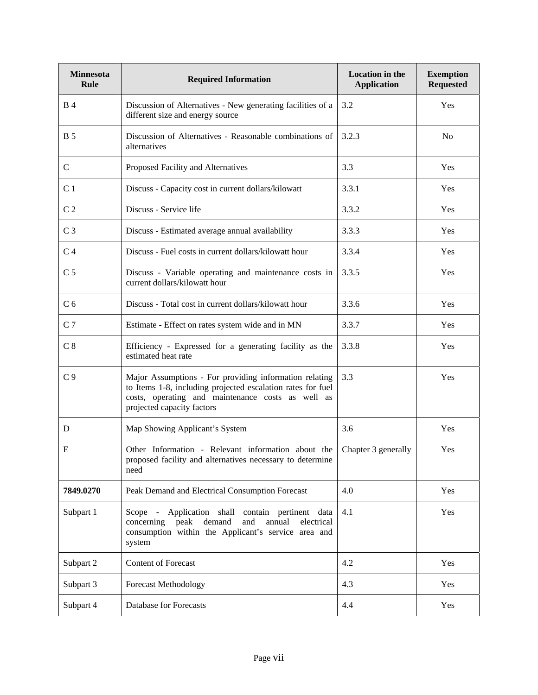| <b>Minnesota</b><br><b>Rule</b> | <b>Required Information</b>                                                                                                                                                                              | <b>Location</b> in the<br><b>Application</b> | <b>Exemption</b><br><b>Requested</b> |
|---------------------------------|----------------------------------------------------------------------------------------------------------------------------------------------------------------------------------------------------------|----------------------------------------------|--------------------------------------|
| <b>B</b> 4                      | Discussion of Alternatives - New generating facilities of a<br>different size and energy source                                                                                                          | 3.2                                          | Yes                                  |
| <b>B</b> 5                      | Discussion of Alternatives - Reasonable combinations of<br>alternatives                                                                                                                                  | 3.2.3                                        | No                                   |
| $\mathbf C$                     | Proposed Facility and Alternatives                                                                                                                                                                       | 3.3                                          | Yes                                  |
| C <sub>1</sub>                  | Discuss - Capacity cost in current dollars/kilowatt                                                                                                                                                      | 3.3.1                                        | Yes                                  |
| C <sub>2</sub>                  | Discuss - Service life                                                                                                                                                                                   | 3.3.2                                        | Yes                                  |
| C <sub>3</sub>                  | Discuss - Estimated average annual availability                                                                                                                                                          | 3.3.3                                        | Yes                                  |
| C <sub>4</sub>                  | Discuss - Fuel costs in current dollars/kilowatt hour                                                                                                                                                    | 3.3.4                                        | Yes                                  |
| C <sub>5</sub>                  | Discuss - Variable operating and maintenance costs in<br>current dollars/kilowatt hour                                                                                                                   | 3.3.5                                        | Yes                                  |
| C <sub>6</sub>                  | Discuss - Total cost in current dollars/kilowatt hour                                                                                                                                                    | 3.3.6                                        | Yes                                  |
| C <sub>7</sub>                  | Estimate - Effect on rates system wide and in MN                                                                                                                                                         | 3.3.7                                        | Yes                                  |
| C <sub>8</sub>                  | Efficiency - Expressed for a generating facility as the<br>estimated heat rate                                                                                                                           | 3.3.8                                        | Yes                                  |
| C <sub>9</sub>                  | Major Assumptions - For providing information relating<br>to Items 1-8, including projected escalation rates for fuel<br>costs, operating and maintenance costs as well as<br>projected capacity factors | 3.3                                          | Yes                                  |
| D                               | Map Showing Applicant's System                                                                                                                                                                           | 3.6                                          | Yes                                  |
| E                               | Other Information - Relevant information about the<br>proposed facility and alternatives necessary to determine<br>need                                                                                  | Chapter 3 generally                          | Yes                                  |
| 7849.0270                       | Peak Demand and Electrical Consumption Forecast                                                                                                                                                          | 4.0                                          | Yes                                  |
| Subpart 1                       | Scope -<br>Application shall contain pertinent data<br>peak<br>demand<br>and<br>annual<br>concerning<br>electrical<br>consumption within the Applicant's service area and<br>system                      | 4.1                                          | Yes                                  |
| Subpart 2                       | <b>Content of Forecast</b>                                                                                                                                                                               | 4.2                                          | Yes                                  |
| Subpart 3                       | <b>Forecast Methodology</b>                                                                                                                                                                              | 4.3                                          | Yes                                  |
| Subpart 4                       | Database for Forecasts                                                                                                                                                                                   | 4.4                                          | Yes                                  |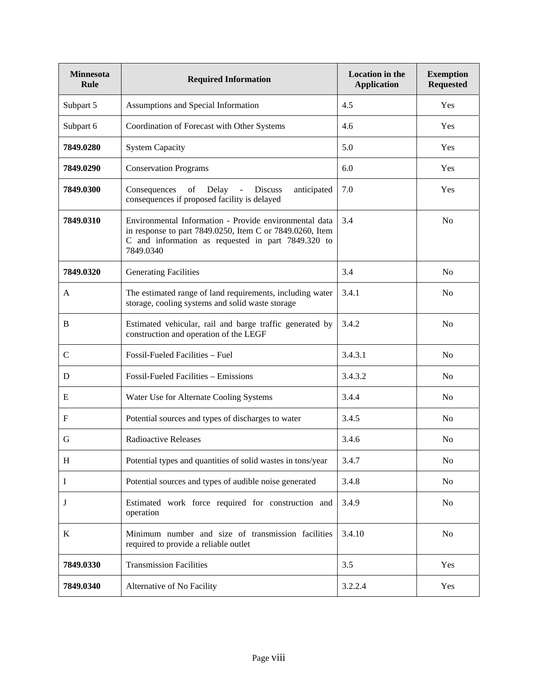| <b>Minnesota</b><br><b>Rule</b> | <b>Required Information</b>                                                                                                                                                           | <b>Location</b> in the<br><b>Application</b> | <b>Exemption</b><br><b>Requested</b> |
|---------------------------------|---------------------------------------------------------------------------------------------------------------------------------------------------------------------------------------|----------------------------------------------|--------------------------------------|
| Subpart 5                       | Assumptions and Special Information                                                                                                                                                   | 4.5                                          | Yes                                  |
| Subpart 6                       | Coordination of Forecast with Other Systems                                                                                                                                           | 4.6                                          | Yes                                  |
| 7849.0280                       | <b>System Capacity</b>                                                                                                                                                                | 5.0                                          | Yes                                  |
| 7849.0290                       | <b>Conservation Programs</b>                                                                                                                                                          | 6.0                                          | Yes                                  |
| 7849.0300                       | of<br>Delay<br>Consequences<br><b>Discuss</b><br>anticipated<br>$\bar{\phantom{a}}$<br>consequences if proposed facility is delayed                                                   | 7.0                                          | Yes                                  |
| 7849.0310                       | Environmental Information - Provide environmental data<br>in response to part 7849.0250, Item C or 7849.0260, Item<br>C and information as requested in part 7849.320 to<br>7849.0340 | 3.4                                          | N <sub>0</sub>                       |
| 7849.0320                       | <b>Generating Facilities</b>                                                                                                                                                          | 3.4                                          | N <sub>0</sub>                       |
| A                               | The estimated range of land requirements, including water<br>storage, cooling systems and solid waste storage                                                                         | 3.4.1                                        | N <sub>0</sub>                       |
| B                               | Estimated vehicular, rail and barge traffic generated by<br>construction and operation of the LEGF                                                                                    | 3.4.2                                        | N <sub>0</sub>                       |
| $\mathsf{C}$                    | Fossil-Fueled Facilities - Fuel                                                                                                                                                       | 3.4.3.1                                      | N <sub>0</sub>                       |
| D                               | Fossil-Fueled Facilities - Emissions                                                                                                                                                  | 3.4.3.2                                      | N <sub>o</sub>                       |
| E                               | Water Use for Alternate Cooling Systems                                                                                                                                               | 3.4.4                                        | N <sub>0</sub>                       |
| F                               | Potential sources and types of discharges to water                                                                                                                                    | 3.4.5                                        | No                                   |
| G                               | <b>Radioactive Releases</b>                                                                                                                                                           | 3.4.6                                        | N <sub>0</sub>                       |
| H                               | Potential types and quantities of solid wastes in tons/year                                                                                                                           | 3.4.7                                        | N <sub>o</sub>                       |
| I                               | Potential sources and types of audible noise generated                                                                                                                                | 3.4.8                                        | No                                   |
| J                               | Estimated work force required for construction and<br>operation                                                                                                                       | 3.4.9                                        | No                                   |
| K                               | Minimum number and size of transmission facilities<br>required to provide a reliable outlet                                                                                           | 3.4.10                                       | N <sub>0</sub>                       |
| 7849.0330                       | <b>Transmission Facilities</b>                                                                                                                                                        | 3.5                                          | Yes                                  |
| 7849.0340                       | Alternative of No Facility                                                                                                                                                            | 3.2.2.4                                      | Yes                                  |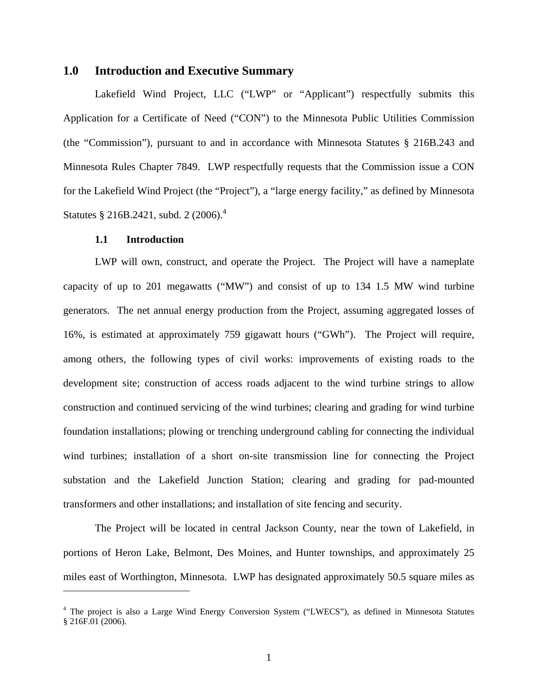### **1.0 Introduction and Executive Summary**

Lakefield Wind Project, LLC ("LWP" or "Applicant") respectfully submits this Application for a Certificate of Need ("CON") to the Minnesota Public Utilities Commission (the "Commission"), pursuant to and in accordance with Minnesota Statutes § 216B.243 and Minnesota Rules Chapter 7849. LWP respectfully requests that the Commission issue a CON for the Lakefield Wind Project (the "Project"), a "large energy facility," as defined by Minnesota Statutes § 216B.2421, subd. 2 (2006).<sup>4</sup>

#### **1.1 Introduction**

 $\overline{a}$ 

LWP will own, construct, and operate the Project. The Project will have a nameplate capacity of up to 201 megawatts ("MW") and consist of up to 134 1.5 MW wind turbine generators. The net annual energy production from the Project, assuming aggregated losses of 16%, is estimated at approximately 759 gigawatt hours ("GWh"). The Project will require, among others, the following types of civil works: improvements of existing roads to the development site; construction of access roads adjacent to the wind turbine strings to allow construction and continued servicing of the wind turbines; clearing and grading for wind turbine foundation installations; plowing or trenching underground cabling for connecting the individual wind turbines; installation of a short on-site transmission line for connecting the Project substation and the Lakefield Junction Station; clearing and grading for pad-mounted transformers and other installations; and installation of site fencing and security.

The Project will be located in central Jackson County, near the town of Lakefield, in portions of Heron Lake, Belmont, Des Moines, and Hunter townships, and approximately 25 miles east of Worthington, Minnesota. LWP has designated approximately 50.5 square miles as

<sup>&</sup>lt;sup>4</sup> The project is also a Large Wind Energy Conversion System ("LWECS"), as defined in Minnesota Statutes § 216F.01 (2006).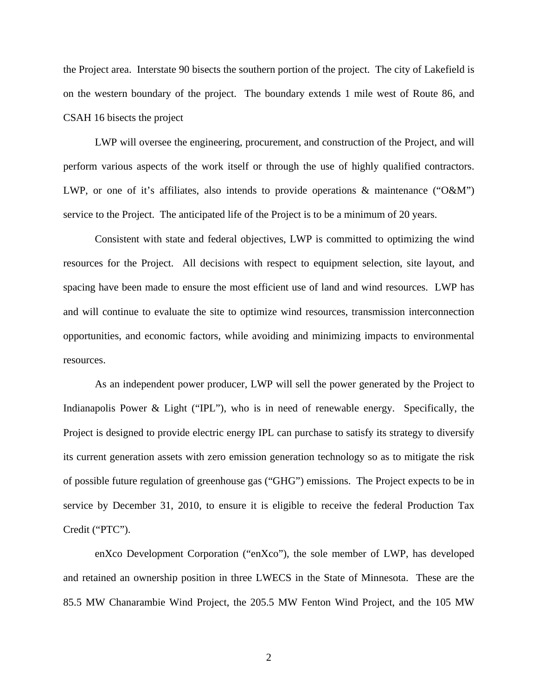the Project area. Interstate 90 bisects the southern portion of the project. The city of Lakefield is on the western boundary of the project. The boundary extends 1 mile west of Route 86, and CSAH 16 bisects the project

LWP will oversee the engineering, procurement, and construction of the Project, and will perform various aspects of the work itself or through the use of highly qualified contractors. LWP, or one of it's affiliates, also intends to provide operations & maintenance ("O&M") service to the Project. The anticipated life of the Project is to be a minimum of 20 years.

Consistent with state and federal objectives, LWP is committed to optimizing the wind resources for the Project. All decisions with respect to equipment selection, site layout, and spacing have been made to ensure the most efficient use of land and wind resources. LWP has and will continue to evaluate the site to optimize wind resources, transmission interconnection opportunities, and economic factors, while avoiding and minimizing impacts to environmental resources.

As an independent power producer, LWP will sell the power generated by the Project to Indianapolis Power & Light ("IPL"), who is in need of renewable energy. Specifically, the Project is designed to provide electric energy IPL can purchase to satisfy its strategy to diversify its current generation assets with zero emission generation technology so as to mitigate the risk of possible future regulation of greenhouse gas ("GHG") emissions. The Project expects to be in service by December 31, 2010, to ensure it is eligible to receive the federal Production Tax Credit ("PTC").

enXco Development Corporation ("enXco"), the sole member of LWP, has developed and retained an ownership position in three LWECS in the State of Minnesota. These are the 85.5 MW Chanarambie Wind Project, the 205.5 MW Fenton Wind Project, and the 105 MW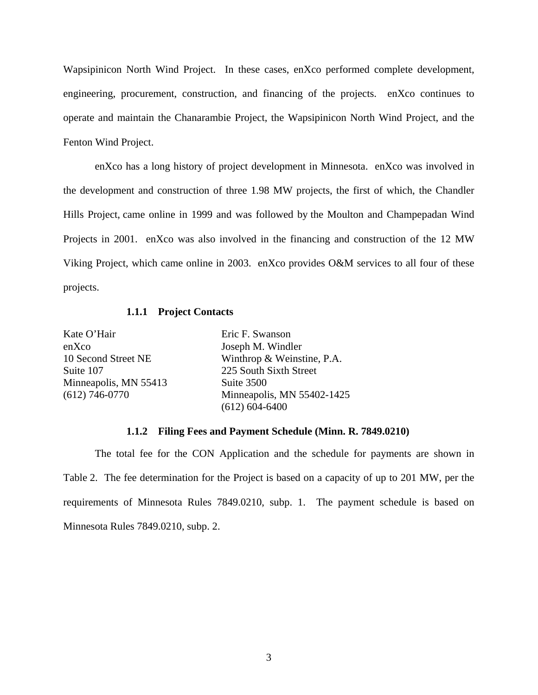Wapsipinicon North Wind Project. In these cases, enXco performed complete development, engineering, procurement, construction, and financing of the projects. enXco continues to operate and maintain the Chanarambie Project, the Wapsipinicon North Wind Project, and the Fenton Wind Project.

enXco has a long history of project development in Minnesota. enXco was involved in the development and construction of three 1.98 MW projects, the first of which, the Chandler Hills Project, came online in 1999 and was followed by the Moulton and Champepadan Wind Projects in 2001. enXco was also involved in the financing and construction of the 12 MW Viking Project, which came online in 2003. enXco provides O&M services to all four of these projects.

### **1.1.1 Project Contacts**

| Eric F. Swanson            |
|----------------------------|
| Joseph M. Windler          |
| Winthrop & Weinstine, P.A. |
| 225 South Sixth Street     |
| Suite 3500                 |
| Minneapolis, MN 55402-1425 |
| $(612) 604 - 6400$         |
|                            |

### **1.1.2 Filing Fees and Payment Schedule (Minn. R. 7849.0210)**

The total fee for the CON Application and the schedule for payments are shown in Table 2. The fee determination for the Project is based on a capacity of up to 201 MW, per the requirements of Minnesota Rules 7849.0210, subp. 1. The payment schedule is based on Minnesota Rules 7849.0210, subp. 2.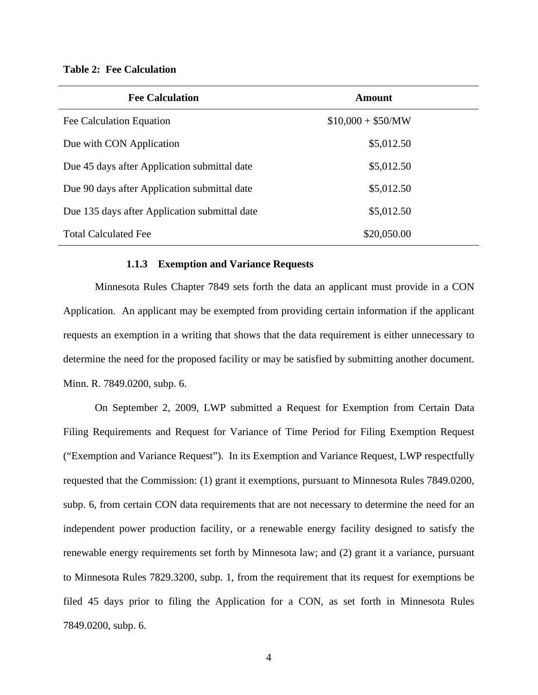#### **Table 2: Fee Calculation**

| <b>Fee Calculation</b>                        | Amount             |
|-----------------------------------------------|--------------------|
| Fee Calculation Equation                      | $$10,000 + $50/MW$ |
| Due with CON Application                      | \$5,012.50         |
| Due 45 days after Application submittal date  | \$5,012.50         |
| Due 90 days after Application submittal date  | \$5,012.50         |
| Due 135 days after Application submittal date | \$5,012.50         |
| <b>Total Calculated Fee</b>                   | \$20,050.00        |

#### **1.1.3 Exemption and Variance Requests**

Minnesota Rules Chapter 7849 sets forth the data an applicant must provide in a CON Application. An applicant may be exempted from providing certain information if the applicant requests an exemption in a writing that shows that the data requirement is either unnecessary to determine the need for the proposed facility or may be satisfied by submitting another document. Minn. R. 7849.0200, subp. 6.

On September 2, 2009, LWP submitted a Request for Exemption from Certain Data Filing Requirements and Request for Variance of Time Period for Filing Exemption Request ("Exemption and Variance Request"). In its Exemption and Variance Request, LWP respectfully requested that the Commission: (1) grant it exemptions, pursuant to Minnesota Rules 7849.0200, subp. 6, from certain CON data requirements that are not necessary to determine the need for an independent power production facility, or a renewable energy facility designed to satisfy the renewable energy requirements set forth by Minnesota law; and (2) grant it a variance, pursuant to Minnesota Rules 7829.3200, subp. 1, from the requirement that its request for exemptions be filed 45 days prior to filing the Application for a CON, as set forth in Minnesota Rules 7849.0200, subp. 6.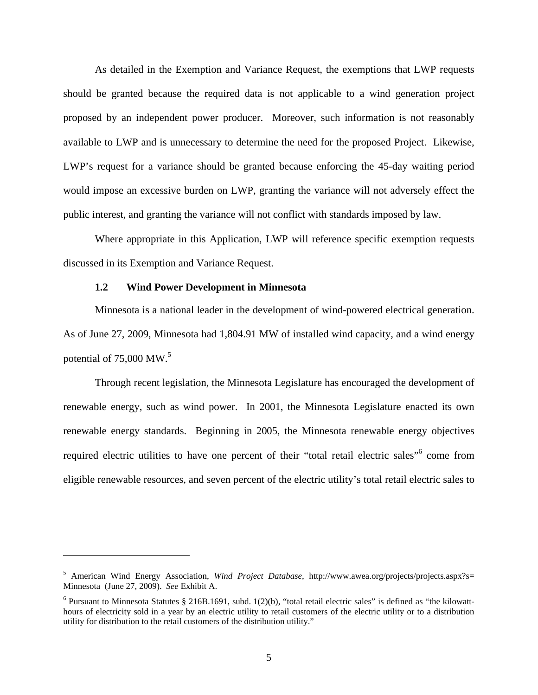As detailed in the Exemption and Variance Request, the exemptions that LWP requests should be granted because the required data is not applicable to a wind generation project proposed by an independent power producer. Moreover, such information is not reasonably available to LWP and is unnecessary to determine the need for the proposed Project. Likewise, LWP's request for a variance should be granted because enforcing the 45-day waiting period would impose an excessive burden on LWP, granting the variance will not adversely effect the public interest, and granting the variance will not conflict with standards imposed by law.

Where appropriate in this Application, LWP will reference specific exemption requests discussed in its Exemption and Variance Request.

### **1.2 Wind Power Development in Minnesota**

1

Minnesota is a national leader in the development of wind-powered electrical generation. As of June 27, 2009, Minnesota had 1,804.91 MW of installed wind capacity, and a wind energy potential of  $75,000$  MW.<sup>5</sup>

Through recent legislation, the Minnesota Legislature has encouraged the development of renewable energy, such as wind power. In 2001, the Minnesota Legislature enacted its own renewable energy standards. Beginning in 2005, the Minnesota renewable energy objectives required electric utilities to have one percent of their "total retail electric sales" come from eligible renewable resources, and seven percent of the electric utility's total retail electric sales to

<sup>5</sup> American Wind Energy Association, *Wind Project Database*, http://www.awea.org/projects/projects.aspx?s= Minnesota (June 27, 2009). *See* Exhibit A.

 $6$  Pursuant to Minnesota Statutes § 216B.1691, subd. 1(2)(b), "total retail electric sales" is defined as "the kilowatthours of electricity sold in a year by an electric utility to retail customers of the electric utility or to a distribution utility for distribution to the retail customers of the distribution utility."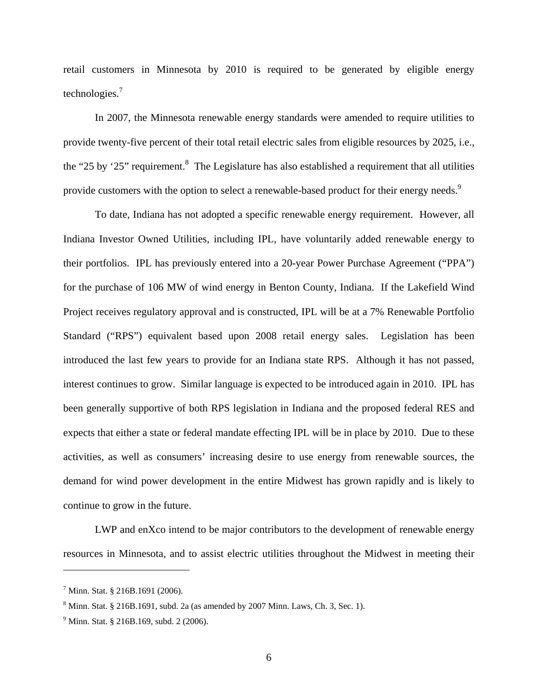retail customers in Minnesota by 2010 is required to be generated by eligible energy technologies.<sup>7</sup>

In 2007, the Minnesota renewable energy standards were amended to require utilities to provide twenty-five percent of their total retail electric sales from eligible resources by 2025, i.e., the "25 by '25" requirement.<sup>8</sup> The Legislature has also established a requirement that all utilities provide customers with the option to select a renewable-based product for their energy needs.<sup>9</sup>

To date, Indiana has not adopted a specific renewable energy requirement. However, all Indiana Investor Owned Utilities, including IPL, have voluntarily added renewable energy to their portfolios. IPL has previously entered into a 20-year Power Purchase Agreement ("PPA") for the purchase of 106 MW of wind energy in Benton County, Indiana. If the Lakefield Wind Project receives regulatory approval and is constructed, IPL will be at a 7% Renewable Portfolio Standard ("RPS") equivalent based upon 2008 retail energy sales. Legislation has been introduced the last few years to provide for an Indiana state RPS. Although it has not passed, interest continues to grow. Similar language is expected to be introduced again in 2010. IPL has been generally supportive of both RPS legislation in Indiana and the proposed federal RES and expects that either a state or federal mandate effecting IPL will be in place by 2010. Due to these activities, as well as consumers' increasing desire to use energy from renewable sources, the demand for wind power development in the entire Midwest has grown rapidly and is likely to continue to grow in the future.

LWP and enXco intend to be major contributors to the development of renewable energy resources in Minnesota, and to assist electric utilities throughout the Midwest in meeting their

<sup>&</sup>lt;sup>7</sup> Minn. Stat. § 216B.1691 (2006).

 $8$  Minn. Stat. § 216B.1691, subd. 2a (as amended by 2007 Minn. Laws, Ch. 3, Sec. 1).

<sup>&</sup>lt;sup>9</sup> Minn. Stat. § 216B.169, subd. 2 (2006).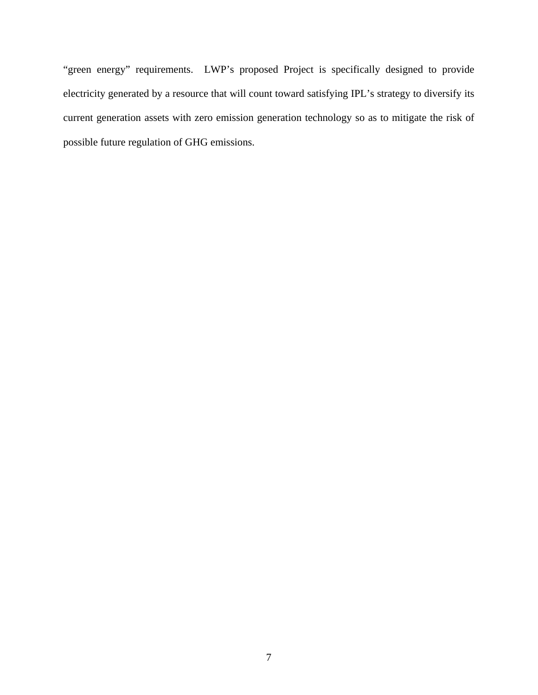"green energy" requirements. LWP's proposed Project is specifically designed to provide electricity generated by a resource that will count toward satisfying IPL's strategy to diversify its current generation assets with zero emission generation technology so as to mitigate the risk of possible future regulation of GHG emissions.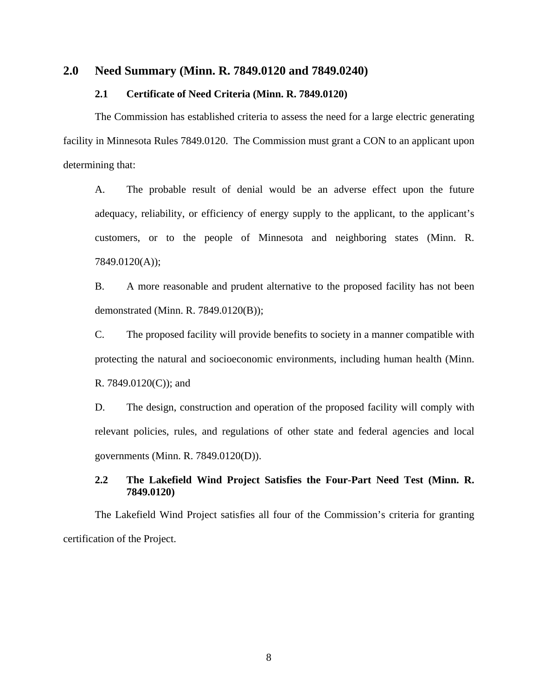### **2.0 Need Summary (Minn. R. 7849.0120 and 7849.0240)**

#### **2.1 Certificate of Need Criteria (Minn. R. 7849.0120)**

The Commission has established criteria to assess the need for a large electric generating facility in Minnesota Rules 7849.0120. The Commission must grant a CON to an applicant upon determining that:

A. The probable result of denial would be an adverse effect upon the future adequacy, reliability, or efficiency of energy supply to the applicant, to the applicant's customers, or to the people of Minnesota and neighboring states (Minn. R. 7849.0120(A));

B. A more reasonable and prudent alternative to the proposed facility has not been demonstrated (Minn. R. 7849.0120(B));

C. The proposed facility will provide benefits to society in a manner compatible with protecting the natural and socioeconomic environments, including human health (Minn. R. 7849.0120(C)); and

D. The design, construction and operation of the proposed facility will comply with relevant policies, rules, and regulations of other state and federal agencies and local governments (Minn. R. 7849.0120(D)).

### **2.2 The Lakefield Wind Project Satisfies the Four-Part Need Test (Minn. R. 7849.0120)**

The Lakefield Wind Project satisfies all four of the Commission's criteria for granting certification of the Project.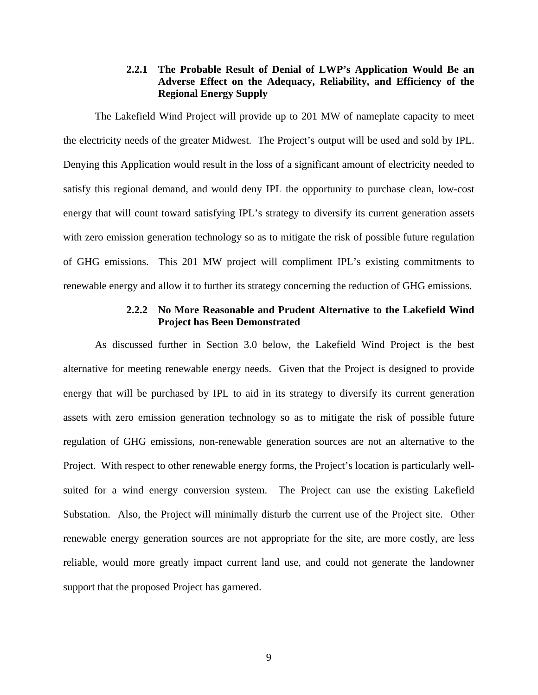### **2.2.1 The Probable Result of Denial of LWP's Application Would Be an Adverse Effect on the Adequacy, Reliability, and Efficiency of the Regional Energy Supply**

The Lakefield Wind Project will provide up to 201 MW of nameplate capacity to meet the electricity needs of the greater Midwest. The Project's output will be used and sold by IPL. Denying this Application would result in the loss of a significant amount of electricity needed to satisfy this regional demand, and would deny IPL the opportunity to purchase clean, low-cost energy that will count toward satisfying IPL's strategy to diversify its current generation assets with zero emission generation technology so as to mitigate the risk of possible future regulation of GHG emissions. This 201 MW project will compliment IPL's existing commitments to renewable energy and allow it to further its strategy concerning the reduction of GHG emissions.

### **2.2.2 No More Reasonable and Prudent Alternative to the Lakefield Wind Project has Been Demonstrated**

As discussed further in Section 3.0 below, the Lakefield Wind Project is the best alternative for meeting renewable energy needs. Given that the Project is designed to provide energy that will be purchased by IPL to aid in its strategy to diversify its current generation assets with zero emission generation technology so as to mitigate the risk of possible future regulation of GHG emissions, non-renewable generation sources are not an alternative to the Project. With respect to other renewable energy forms, the Project's location is particularly wellsuited for a wind energy conversion system. The Project can use the existing Lakefield Substation. Also, the Project will minimally disturb the current use of the Project site. Other renewable energy generation sources are not appropriate for the site, are more costly, are less reliable, would more greatly impact current land use, and could not generate the landowner support that the proposed Project has garnered.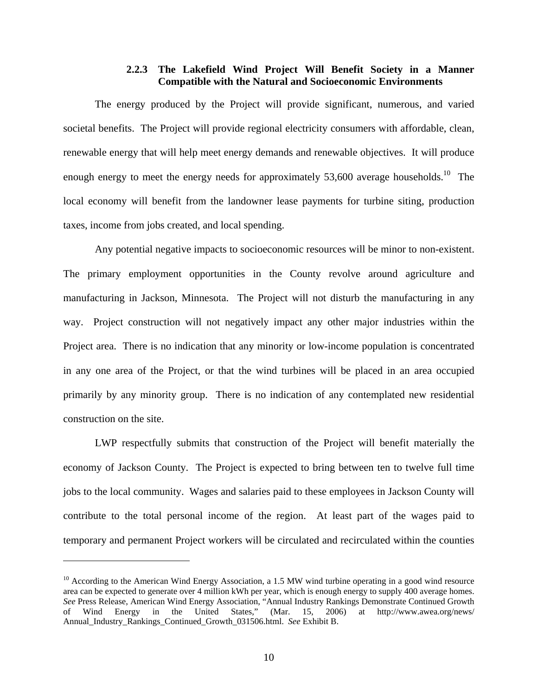### **2.2.3 The Lakefield Wind Project Will Benefit Society in a Manner Compatible with the Natural and Socioeconomic Environments**

The energy produced by the Project will provide significant, numerous, and varied societal benefits. The Project will provide regional electricity consumers with affordable, clean, renewable energy that will help meet energy demands and renewable objectives. It will produce enough energy to meet the energy needs for approximately 53,600 average households.<sup>10</sup> The local economy will benefit from the landowner lease payments for turbine siting, production taxes, income from jobs created, and local spending.

Any potential negative impacts to socioeconomic resources will be minor to non-existent. The primary employment opportunities in the County revolve around agriculture and manufacturing in Jackson, Minnesota. The Project will not disturb the manufacturing in any way. Project construction will not negatively impact any other major industries within the Project area. There is no indication that any minority or low-income population is concentrated in any one area of the Project, or that the wind turbines will be placed in an area occupied primarily by any minority group. There is no indication of any contemplated new residential construction on the site.

LWP respectfully submits that construction of the Project will benefit materially the economy of Jackson County. The Project is expected to bring between ten to twelve full time jobs to the local community. Wages and salaries paid to these employees in Jackson County will contribute to the total personal income of the region. At least part of the wages paid to temporary and permanent Project workers will be circulated and recirculated within the counties

 $10$  According to the American Wind Energy Association, a 1.5 MW wind turbine operating in a good wind resource area can be expected to generate over 4 million kWh per year, which is enough energy to supply 400 average homes. *See* Press Release, American Wind Energy Association, "Annual Industry Rankings Demonstrate Continued Growth of Wind Energy in the United States," (Mar. 15, 2006) at http://www.awea.org/news/ Annual\_Industry\_Rankings\_Continued\_Growth\_031506.html. *See* Exhibit B.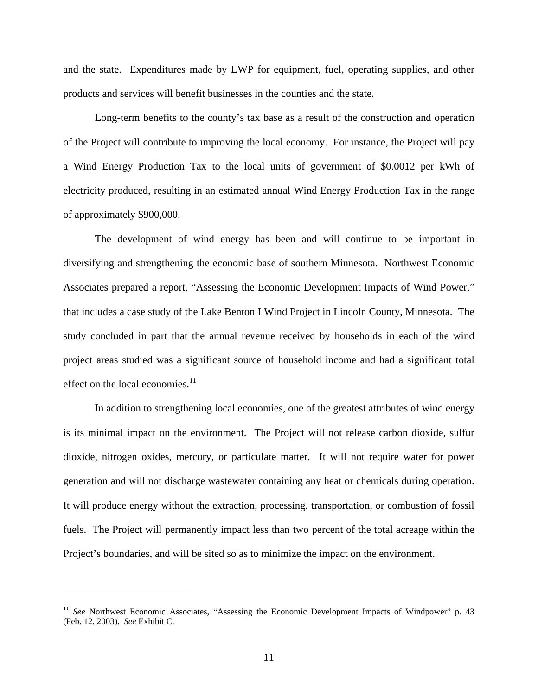and the state. Expenditures made by LWP for equipment, fuel, operating supplies, and other products and services will benefit businesses in the counties and the state.

Long-term benefits to the county's tax base as a result of the construction and operation of the Project will contribute to improving the local economy. For instance, the Project will pay a Wind Energy Production Tax to the local units of government of \$0.0012 per kWh of electricity produced, resulting in an estimated annual Wind Energy Production Tax in the range of approximately \$900,000.

The development of wind energy has been and will continue to be important in diversifying and strengthening the economic base of southern Minnesota. Northwest Economic Associates prepared a report, "Assessing the Economic Development Impacts of Wind Power," that includes a case study of the Lake Benton I Wind Project in Lincoln County, Minnesota. The study concluded in part that the annual revenue received by households in each of the wind project areas studied was a significant source of household income and had a significant total effect on the local economies. $^{11}$ 

In addition to strengthening local economies, one of the greatest attributes of wind energy is its minimal impact on the environment. The Project will not release carbon dioxide, sulfur dioxide, nitrogen oxides, mercury, or particulate matter. It will not require water for power generation and will not discharge wastewater containing any heat or chemicals during operation. It will produce energy without the extraction, processing, transportation, or combustion of fossil fuels. The Project will permanently impact less than two percent of the total acreage within the Project's boundaries, and will be sited so as to minimize the impact on the environment.

<sup>&</sup>lt;sup>11</sup> *See* Northwest Economic Associates, "Assessing the Economic Development Impacts of Windpower" p. 43 (Feb. 12, 2003). *See* Exhibit C.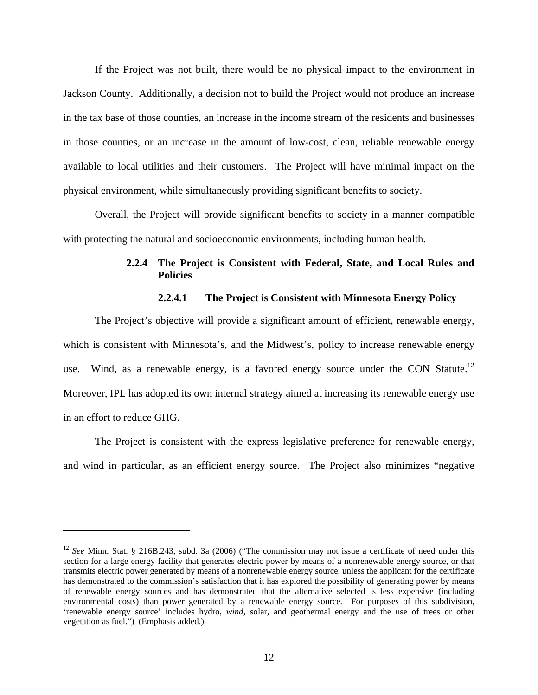If the Project was not built, there would be no physical impact to the environment in Jackson County. Additionally, a decision not to build the Project would not produce an increase in the tax base of those counties, an increase in the income stream of the residents and businesses in those counties, or an increase in the amount of low-cost, clean, reliable renewable energy available to local utilities and their customers. The Project will have minimal impact on the physical environment, while simultaneously providing significant benefits to society.

Overall, the Project will provide significant benefits to society in a manner compatible with protecting the natural and socioeconomic environments, including human health.

## **2.2.4 The Project is Consistent with Federal, State, and Local Rules and Policies**

### **2.2.4.1 The Project is Consistent with Minnesota Energy Policy**

The Project's objective will provide a significant amount of efficient, renewable energy, which is consistent with Minnesota's, and the Midwest's, policy to increase renewable energy use. Wind, as a renewable energy, is a favored energy source under the CON Statute.<sup>12</sup> Moreover, IPL has adopted its own internal strategy aimed at increasing its renewable energy use in an effort to reduce GHG.

The Project is consistent with the express legislative preference for renewable energy, and wind in particular, as an efficient energy source. The Project also minimizes "negative

<sup>&</sup>lt;sup>12</sup> *See* Minn. Stat. § 216B.243, subd. 3a (2006) ("The commission may not issue a certificate of need under this section for a large energy facility that generates electric power by means of a nonrenewable energy source, or that transmits electric power generated by means of a nonrenewable energy source, unless the applicant for the certificate has demonstrated to the commission's satisfaction that it has explored the possibility of generating power by means of renewable energy sources and has demonstrated that the alternative selected is less expensive (including environmental costs) than power generated by a renewable energy source. For purposes of this subdivision, 'renewable energy source' includes hydro, *wind*, solar, and geothermal energy and the use of trees or other vegetation as fuel.") (Emphasis added.)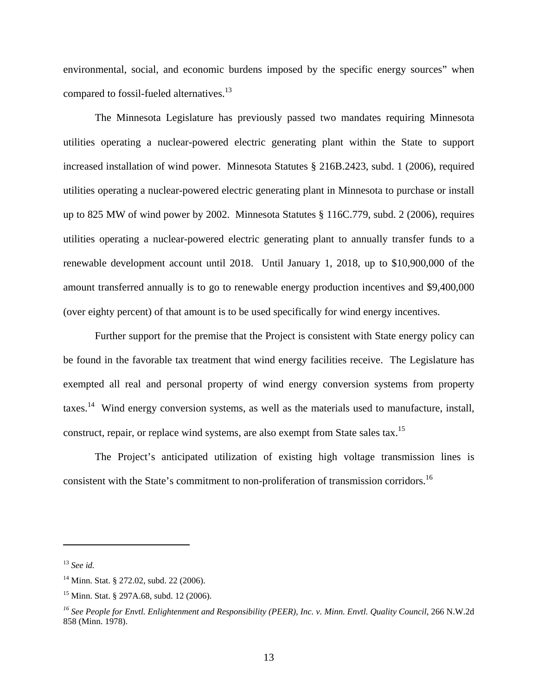environmental, social, and economic burdens imposed by the specific energy sources" when compared to fossil-fueled alternatives.<sup>13</sup>

The Minnesota Legislature has previously passed two mandates requiring Minnesota utilities operating a nuclear-powered electric generating plant within the State to support increased installation of wind power. Minnesota Statutes § 216B.2423, subd. 1 (2006), required utilities operating a nuclear-powered electric generating plant in Minnesota to purchase or install up to 825 MW of wind power by 2002. Minnesota Statutes § 116C.779, subd. 2 (2006), requires utilities operating a nuclear-powered electric generating plant to annually transfer funds to a renewable development account until 2018. Until January 1, 2018, up to \$10,900,000 of the amount transferred annually is to go to renewable energy production incentives and \$9,400,000 (over eighty percent) of that amount is to be used specifically for wind energy incentives.

Further support for the premise that the Project is consistent with State energy policy can be found in the favorable tax treatment that wind energy facilities receive. The Legislature has exempted all real and personal property of wind energy conversion systems from property taxes.14 Wind energy conversion systems, as well as the materials used to manufacture, install, construct, repair, or replace wind systems, are also exempt from State sales tax.<sup>15</sup>

The Project's anticipated utilization of existing high voltage transmission lines is consistent with the State's commitment to non-proliferation of transmission corridors.<sup>16</sup>

<sup>13</sup> *See id.*

<sup>&</sup>lt;sup>14</sup> Minn. Stat. § 272.02, subd. 22 (2006).

<sup>15</sup> Minn. Stat. § 297A.68, subd. 12 (2006).

<sup>&</sup>lt;sup>16</sup> See People for Envtl. Enlightenment and Responsibility (PEER), Inc. v. Minn. Envtl. Quality Council, 266 N.W.2d 858 (Minn. 1978).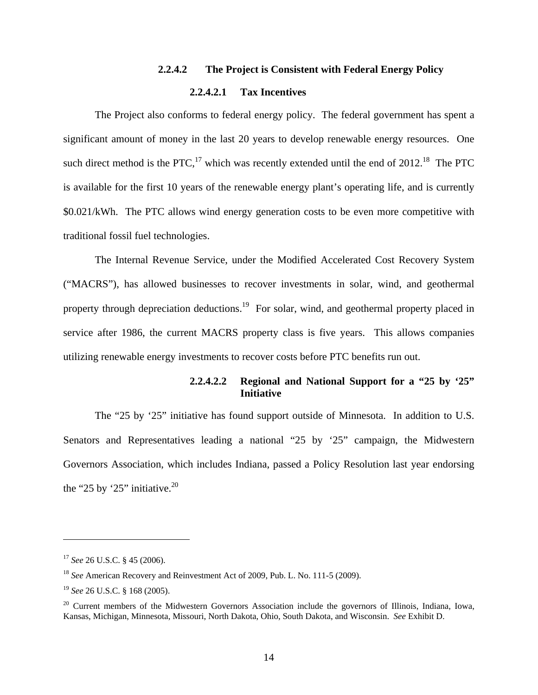# **2.2.4.2 The Project is Consistent with Federal Energy Policy 2.2.4.2.1 Tax Incentives**

The Project also conforms to federal energy policy. The federal government has spent a significant amount of money in the last 20 years to develop renewable energy resources. One such direct method is the PTC,<sup>17</sup> which was recently extended until the end of 2012.<sup>18</sup> The PTC is available for the first 10 years of the renewable energy plant's operating life, and is currently \$0.021/kWh. The PTC allows wind energy generation costs to be even more competitive with traditional fossil fuel technologies.

The Internal Revenue Service, under the Modified Accelerated Cost Recovery System ("MACRS"), has allowed businesses to recover investments in solar, wind, and geothermal property through depreciation deductions.<sup>19</sup> For solar, wind, and geothermal property placed in service after 1986, the current MACRS property class is five years. This allows companies utilizing renewable energy investments to recover costs before PTC benefits run out.

### **2.2.4.2.2 Regional and National Support for a "25 by '25" Initiative**

The "25 by '25" initiative has found support outside of Minnesota. In addition to U.S. Senators and Representatives leading a national "25 by '25" campaign, the Midwestern Governors Association, which includes Indiana, passed a Policy Resolution last year endorsing the "25 by '25" initiative.<sup>20</sup>

<sup>17</sup> *See* 26 U.S.C. § 45 (2006).

<sup>18</sup> *See* American Recovery and Reinvestment Act of 2009, Pub. L. No. 111-5 (2009).

<sup>19</sup> *See* 26 U.S.C. § 168 (2005).

<sup>&</sup>lt;sup>20</sup> Current members of the Midwestern Governors Association include the governors of Illinois, Indiana, Iowa, Kansas, Michigan, Minnesota, Missouri, North Dakota, Ohio, South Dakota, and Wisconsin. *See* Exhibit D.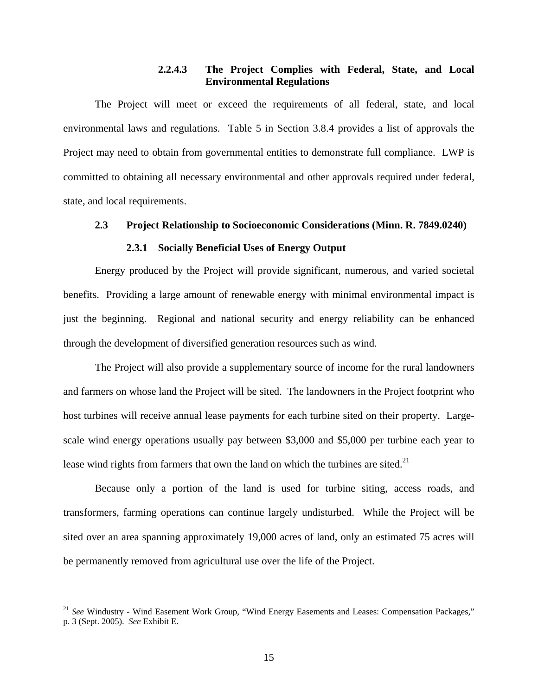### **2.2.4.3 The Project Complies with Federal, State, and Local Environmental Regulations**

The Project will meet or exceed the requirements of all federal, state, and local environmental laws and regulations. Table 5 in Section 3.8.4 provides a list of approvals the Project may need to obtain from governmental entities to demonstrate full compliance. LWP is committed to obtaining all necessary environmental and other approvals required under federal, state, and local requirements.

#### **2.3 Project Relationship to Socioeconomic Considerations (Minn. R. 7849.0240)**

#### **2.3.1 Socially Beneficial Uses of Energy Output**

Energy produced by the Project will provide significant, numerous, and varied societal benefits. Providing a large amount of renewable energy with minimal environmental impact is just the beginning. Regional and national security and energy reliability can be enhanced through the development of diversified generation resources such as wind.

The Project will also provide a supplementary source of income for the rural landowners and farmers on whose land the Project will be sited. The landowners in the Project footprint who host turbines will receive annual lease payments for each turbine sited on their property. Largescale wind energy operations usually pay between \$3,000 and \$5,000 per turbine each year to lease wind rights from farmers that own the land on which the turbines are sited. $21$ 

Because only a portion of the land is used for turbine siting, access roads, and transformers, farming operations can continue largely undisturbed. While the Project will be sited over an area spanning approximately 19,000 acres of land, only an estimated 75 acres will be permanently removed from agricultural use over the life of the Project.

<sup>&</sup>lt;sup>21</sup> See Windustry - Wind Easement Work Group, "Wind Energy Easements and Leases: Compensation Packages," p. 3 (Sept. 2005). *See* Exhibit E.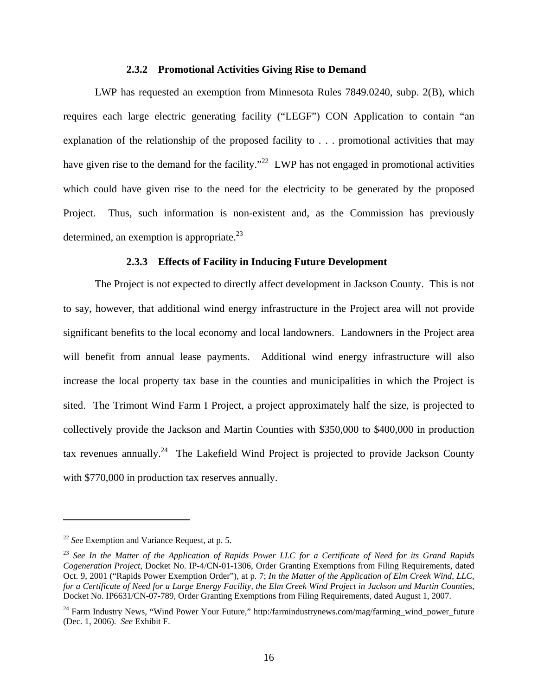#### **2.3.2 Promotional Activities Giving Rise to Demand**

LWP has requested an exemption from Minnesota Rules 7849.0240, subp. 2(B), which requires each large electric generating facility ("LEGF") CON Application to contain "an explanation of the relationship of the proposed facility to . . . promotional activities that may have given rise to the demand for the facility."<sup>22</sup> LWP has not engaged in promotional activities which could have given rise to the need for the electricity to be generated by the proposed Project. Thus, such information is non-existent and, as the Commission has previously determined, an exemption is appropriate. $^{23}$ 

### **2.3.3 Effects of Facility in Inducing Future Development**

The Project is not expected to directly affect development in Jackson County. This is not to say, however, that additional wind energy infrastructure in the Project area will not provide significant benefits to the local economy and local landowners. Landowners in the Project area will benefit from annual lease payments. Additional wind energy infrastructure will also increase the local property tax base in the counties and municipalities in which the Project is sited. The Trimont Wind Farm I Project, a project approximately half the size, is projected to collectively provide the Jackson and Martin Counties with \$350,000 to \$400,000 in production tax revenues annually.<sup>24</sup> The Lakefield Wind Project is projected to provide Jackson County with \$770,000 in production tax reserves annually.

<sup>22</sup> *See* Exemption and Variance Request, at p. 5.

<sup>23</sup> *See In the Matter of the Application of Rapids Power LLC for a Certificate of Need for its Grand Rapids Cogeneration Project*, Docket No. IP-4/CN-01-1306, Order Granting Exemptions from Filing Requirements, dated Oct. 9, 2001 ("Rapids Power Exemption Order"), at p. 7; *In the Matter of the Application of Elm Creek Wind, LLC, for a Certificate of Need for a Large Energy Facility, the Elm Creek Wind Project in Jackson and Martin Counties*, Docket No. IP6631/CN-07-789, Order Granting Exemptions from Filing Requirements, dated August 1, 2007.

<sup>&</sup>lt;sup>24</sup> Farm Industry News, "Wind Power Your Future," http:/farmindustrynews.com/mag/farming\_wind\_power\_future (Dec. 1, 2006). *See* Exhibit F.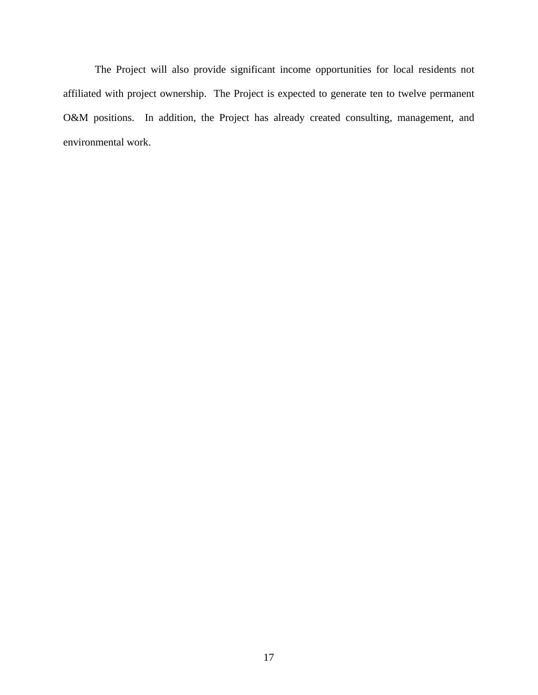The Project will also provide significant income opportunities for local residents not affiliated with project ownership. The Project is expected to generate ten to twelve permanent O&M positions. In addition, the Project has already created consulting, management, and environmental work.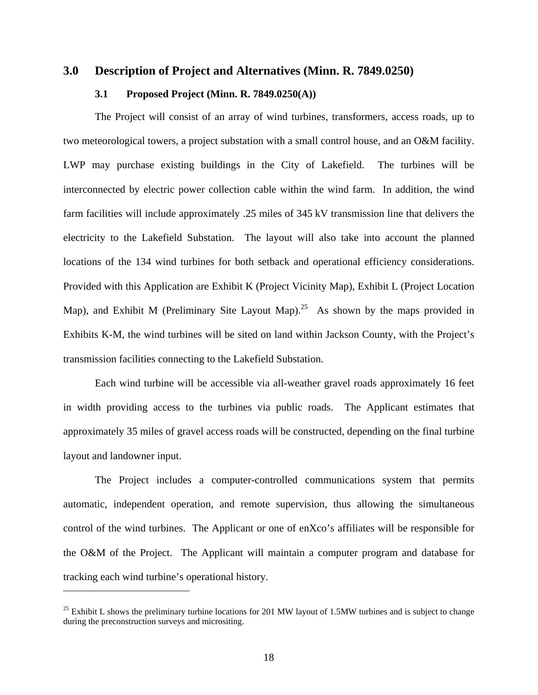### **3.0 Description of Project and Alternatives (Minn. R. 7849.0250)**

### **3.1 Proposed Project (Minn. R. 7849.0250(A))**

The Project will consist of an array of wind turbines, transformers, access roads, up to two meteorological towers, a project substation with a small control house, and an O&M facility. LWP may purchase existing buildings in the City of Lakefield. The turbines will be interconnected by electric power collection cable within the wind farm. In addition, the wind farm facilities will include approximately .25 miles of 345 kV transmission line that delivers the electricity to the Lakefield Substation. The layout will also take into account the planned locations of the 134 wind turbines for both setback and operational efficiency considerations. Provided with this Application are Exhibit K (Project Vicinity Map), Exhibit L (Project Location Map), and Exhibit M (Preliminary Site Layout Map).<sup>25</sup> As shown by the maps provided in Exhibits K-M, the wind turbines will be sited on land within Jackson County, with the Project's transmission facilities connecting to the Lakefield Substation.

Each wind turbine will be accessible via all-weather gravel roads approximately 16 feet in width providing access to the turbines via public roads. The Applicant estimates that approximately 35 miles of gravel access roads will be constructed, depending on the final turbine layout and landowner input.

The Project includes a computer-controlled communications system that permits automatic, independent operation, and remote supervision, thus allowing the simultaneous control of the wind turbines. The Applicant or one of enXco's affiliates will be responsible for the O&M of the Project. The Applicant will maintain a computer program and database for tracking each wind turbine's operational history.

 $25$  Exhibit L shows the preliminary turbine locations for 201 MW layout of 1.5MW turbines and is subject to change during the preconstruction surveys and micrositing.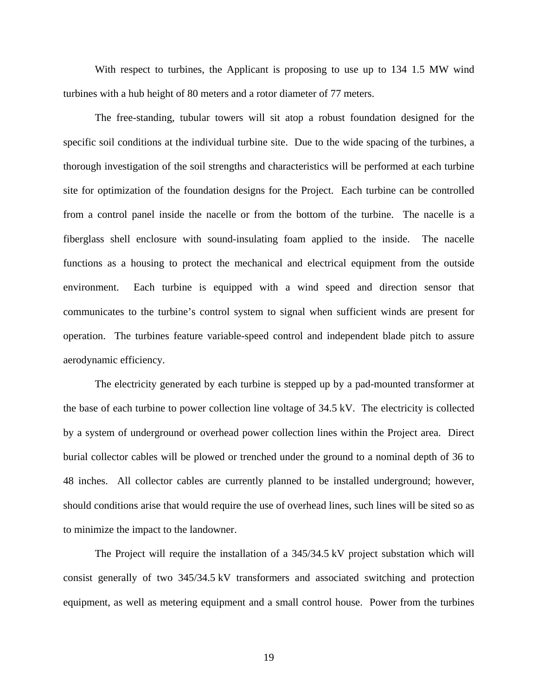With respect to turbines, the Applicant is proposing to use up to 134 1.5 MW wind turbines with a hub height of 80 meters and a rotor diameter of 77 meters.

The free-standing, tubular towers will sit atop a robust foundation designed for the specific soil conditions at the individual turbine site. Due to the wide spacing of the turbines, a thorough investigation of the soil strengths and characteristics will be performed at each turbine site for optimization of the foundation designs for the Project. Each turbine can be controlled from a control panel inside the nacelle or from the bottom of the turbine. The nacelle is a fiberglass shell enclosure with sound-insulating foam applied to the inside. The nacelle functions as a housing to protect the mechanical and electrical equipment from the outside environment. Each turbine is equipped with a wind speed and direction sensor that communicates to the turbine's control system to signal when sufficient winds are present for operation. The turbines feature variable-speed control and independent blade pitch to assure aerodynamic efficiency.

The electricity generated by each turbine is stepped up by a pad-mounted transformer at the base of each turbine to power collection line voltage of 34.5 kV. The electricity is collected by a system of underground or overhead power collection lines within the Project area. Direct burial collector cables will be plowed or trenched under the ground to a nominal depth of 36 to 48 inches. All collector cables are currently planned to be installed underground; however, should conditions arise that would require the use of overhead lines, such lines will be sited so as to minimize the impact to the landowner.

The Project will require the installation of a 345/34.5 kV project substation which will consist generally of two 345/34.5 kV transformers and associated switching and protection equipment, as well as metering equipment and a small control house. Power from the turbines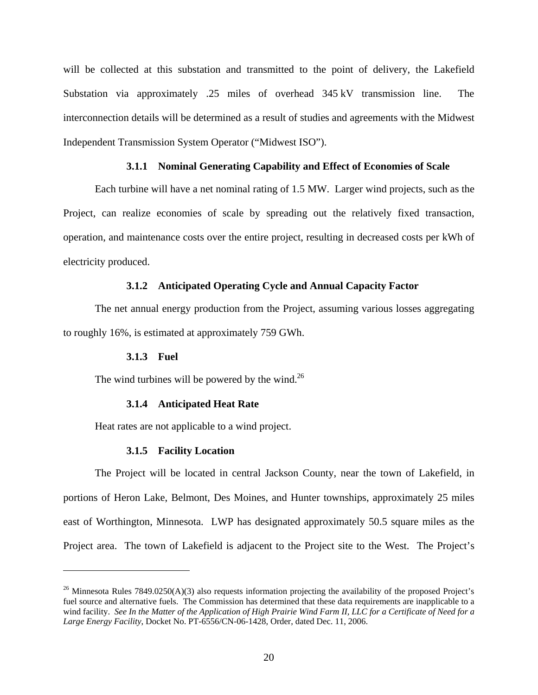will be collected at this substation and transmitted to the point of delivery, the Lakefield Substation via approximately .25 miles of overhead 345 kV transmission line. The interconnection details will be determined as a result of studies and agreements with the Midwest Independent Transmission System Operator ("Midwest ISO").

### **3.1.1 Nominal Generating Capability and Effect of Economies of Scale**

Each turbine will have a net nominal rating of 1.5 MW. Larger wind projects, such as the Project, can realize economies of scale by spreading out the relatively fixed transaction, operation, and maintenance costs over the entire project, resulting in decreased costs per kWh of electricity produced.

### **3.1.2 Anticipated Operating Cycle and Annual Capacity Factor**

The net annual energy production from the Project, assuming various losses aggregating to roughly 16%, is estimated at approximately 759 GWh.

#### **3.1.3 Fuel**

 $\overline{a}$ 

The wind turbines will be powered by the wind.<sup>26</sup>

#### **3.1.4 Anticipated Heat Rate**

Heat rates are not applicable to a wind project.

#### **3.1.5 Facility Location**

The Project will be located in central Jackson County, near the town of Lakefield, in portions of Heron Lake, Belmont, Des Moines, and Hunter townships, approximately 25 miles east of Worthington, Minnesota. LWP has designated approximately 50.5 square miles as the Project area. The town of Lakefield is adjacent to the Project site to the West. The Project's

<sup>&</sup>lt;sup>26</sup> Minnesota Rules 7849.0250(A)(3) also requests information projecting the availability of the proposed Project's fuel source and alternative fuels. The Commission has determined that these data requirements are inapplicable to a wind facility. *See In the Matter of the Application of High Prairie Wind Farm II, LLC for a Certificate of Need for a Large Energy Facility*, Docket No. PT-6556/CN-06-1428, Order, dated Dec. 11, 2006.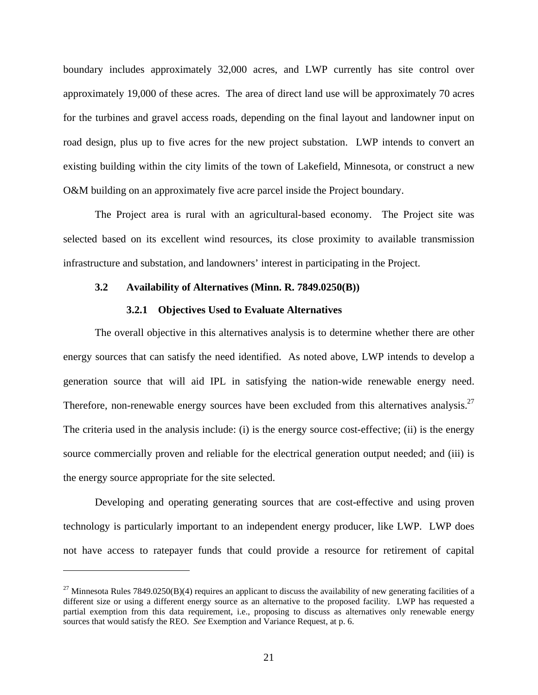boundary includes approximately 32,000 acres, and LWP currently has site control over approximately 19,000 of these acres. The area of direct land use will be approximately 70 acres for the turbines and gravel access roads, depending on the final layout and landowner input on road design, plus up to five acres for the new project substation. LWP intends to convert an existing building within the city limits of the town of Lakefield, Minnesota, or construct a new O&M building on an approximately five acre parcel inside the Project boundary.

The Project area is rural with an agricultural-based economy. The Project site was selected based on its excellent wind resources, its close proximity to available transmission infrastructure and substation, and landowners' interest in participating in the Project.

### **3.2 Availability of Alternatives (Minn. R. 7849.0250(B))**

#### **3.2.1 Objectives Used to Evaluate Alternatives**

The overall objective in this alternatives analysis is to determine whether there are other energy sources that can satisfy the need identified. As noted above, LWP intends to develop a generation source that will aid IPL in satisfying the nation-wide renewable energy need. Therefore, non-renewable energy sources have been excluded from this alternatives analysis.<sup>27</sup> The criteria used in the analysis include: (i) is the energy source cost-effective; (ii) is the energy source commercially proven and reliable for the electrical generation output needed; and (iii) is the energy source appropriate for the site selected.

Developing and operating generating sources that are cost-effective and using proven technology is particularly important to an independent energy producer, like LWP. LWP does not have access to ratepayer funds that could provide a resource for retirement of capital

<u>.</u>

<sup>&</sup>lt;sup>27</sup> Minnesota Rules 7849.0250(B)(4) requires an applicant to discuss the availability of new generating facilities of a different size or using a different energy source as an alternative to the proposed facility. LWP has requested a partial exemption from this data requirement, i.e., proposing to discuss as alternatives only renewable energy sources that would satisfy the REO. *See* Exemption and Variance Request, at p. 6.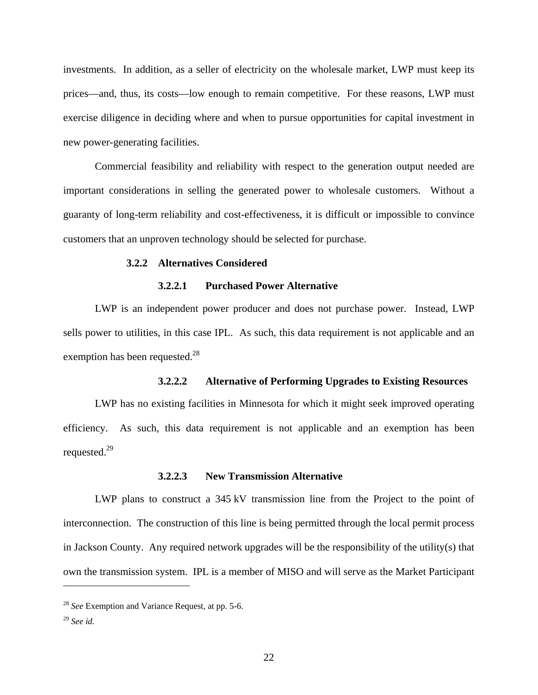investments. In addition, as a seller of electricity on the wholesale market, LWP must keep its prices—and, thus, its costs—low enough to remain competitive. For these reasons, LWP must exercise diligence in deciding where and when to pursue opportunities for capital investment in new power-generating facilities.

Commercial feasibility and reliability with respect to the generation output needed are important considerations in selling the generated power to wholesale customers. Without a guaranty of long-term reliability and cost-effectiveness, it is difficult or impossible to convince customers that an unproven technology should be selected for purchase.

### **3.2.2 Alternatives Considered**

### **3.2.2.1 Purchased Power Alternative**

LWP is an independent power producer and does not purchase power. Instead, LWP sells power to utilities, in this case IPL. As such, this data requirement is not applicable and an exemption has been requested.<sup>28</sup>

#### **3.2.2.2 Alternative of Performing Upgrades to Existing Resources**

LWP has no existing facilities in Minnesota for which it might seek improved operating efficiency. As such, this data requirement is not applicable and an exemption has been requested.<sup>29</sup>

#### **3.2.2.3 New Transmission Alternative**

LWP plans to construct a 345 kV transmission line from the Project to the point of interconnection. The construction of this line is being permitted through the local permit process in Jackson County. Any required network upgrades will be the responsibility of the utility(s) that own the transmission system. IPL is a member of MISO and will serve as the Market Participant

<sup>28</sup> *See* Exemption and Variance Request, at pp. 5-6.

<sup>29</sup> *See id.*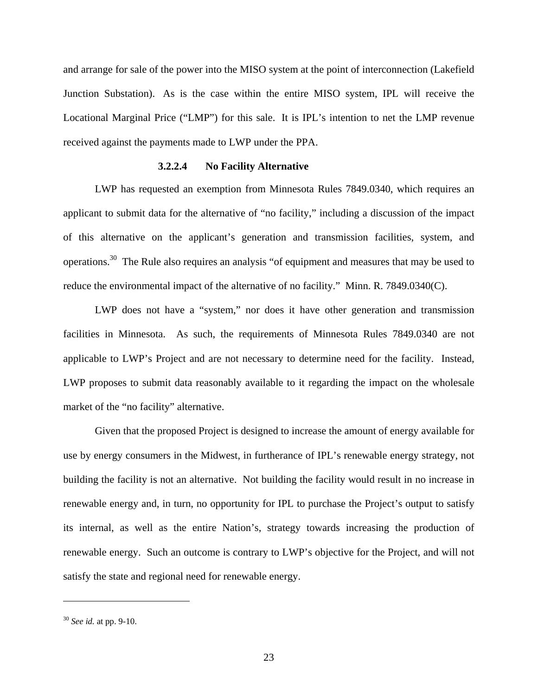and arrange for sale of the power into the MISO system at the point of interconnection (Lakefield Junction Substation). As is the case within the entire MISO system, IPL will receive the Locational Marginal Price ("LMP") for this sale. It is IPL's intention to net the LMP revenue received against the payments made to LWP under the PPA.

### **3.2.2.4 No Facility Alternative**

LWP has requested an exemption from Minnesota Rules 7849.0340, which requires an applicant to submit data for the alternative of "no facility," including a discussion of the impact of this alternative on the applicant's generation and transmission facilities, system, and operations.30 The Rule also requires an analysis "of equipment and measures that may be used to reduce the environmental impact of the alternative of no facility." Minn. R. 7849.0340(C).

LWP does not have a "system," nor does it have other generation and transmission facilities in Minnesota. As such, the requirements of Minnesota Rules 7849.0340 are not applicable to LWP's Project and are not necessary to determine need for the facility. Instead, LWP proposes to submit data reasonably available to it regarding the impact on the wholesale market of the "no facility" alternative.

Given that the proposed Project is designed to increase the amount of energy available for use by energy consumers in the Midwest, in furtherance of IPL's renewable energy strategy, not building the facility is not an alternative. Not building the facility would result in no increase in renewable energy and, in turn, no opportunity for IPL to purchase the Project's output to satisfy its internal, as well as the entire Nation's, strategy towards increasing the production of renewable energy. Such an outcome is contrary to LWP's objective for the Project, and will not satisfy the state and regional need for renewable energy.

<sup>30</sup> *See id.* at pp. 9-10.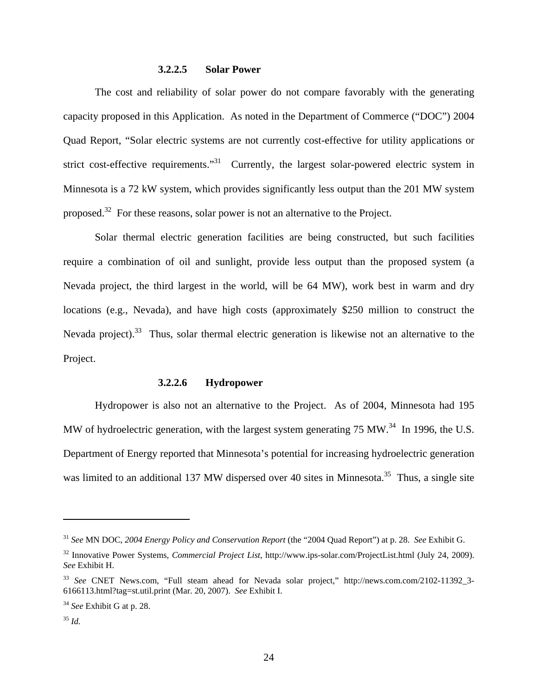### **3.2.2.5 Solar Power**

The cost and reliability of solar power do not compare favorably with the generating capacity proposed in this Application. As noted in the Department of Commerce ("DOC") 2004 Quad Report, "Solar electric systems are not currently cost-effective for utility applications or strict cost-effective requirements. $31$  Currently, the largest solar-powered electric system in Minnesota is a 72 kW system, which provides significantly less output than the 201 MW system proposed.32 For these reasons, solar power is not an alternative to the Project.

Solar thermal electric generation facilities are being constructed, but such facilities require a combination of oil and sunlight, provide less output than the proposed system (a Nevada project, the third largest in the world, will be 64 MW), work best in warm and dry locations (e.g., Nevada), and have high costs (approximately \$250 million to construct the Nevada project).<sup>33</sup> Thus, solar thermal electric generation is likewise not an alternative to the Project.

### **3.2.2.6 Hydropower**

Hydropower is also not an alternative to the Project. As of 2004, Minnesota had 195 MW of hydroelectric generation, with the largest system generating 75 MW.<sup>34</sup> In 1996, the U.S. Department of Energy reported that Minnesota's potential for increasing hydroelectric generation was limited to an additional 137 MW dispersed over 40 sites in Minnesota.<sup>35</sup> Thus, a single site

<sup>31</sup> *See* MN DOC, *2004 Energy Policy and Conservation Report* (the "2004 Quad Report") at p. 28. *See* Exhibit G.

<sup>32</sup> Innovative Power Systems, *Commercial Project List*, http://www.ips-solar.com/ProjectList.html (July 24, 2009). *See* Exhibit H.

<sup>&</sup>lt;sup>33</sup> See CNET News.com, "Full steam ahead for Nevada solar project," http://news.com.com/2102-11392 3-6166113.html?tag=st.util.print (Mar. 20, 2007). *See* Exhibit I.

<sup>34</sup> *See* Exhibit G at p. 28.

<sup>35</sup> *Id.*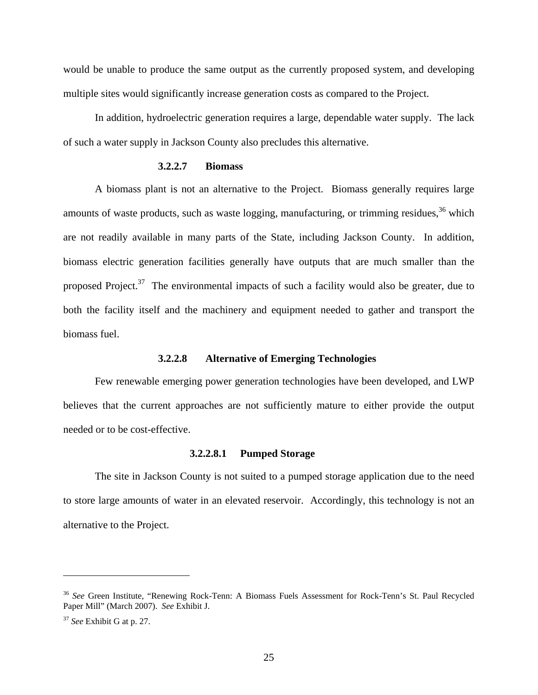would be unable to produce the same output as the currently proposed system, and developing multiple sites would significantly increase generation costs as compared to the Project.

In addition, hydroelectric generation requires a large, dependable water supply. The lack of such a water supply in Jackson County also precludes this alternative.

### **3.2.2.7 Biomass**

A biomass plant is not an alternative to the Project. Biomass generally requires large amounts of waste products, such as waste logging, manufacturing, or trimming residues,  $36$  which are not readily available in many parts of the State, including Jackson County. In addition, biomass electric generation facilities generally have outputs that are much smaller than the proposed Project.<sup>37</sup> The environmental impacts of such a facility would also be greater, due to both the facility itself and the machinery and equipment needed to gather and transport the biomass fuel.

### **3.2.2.8 Alternative of Emerging Technologies**

Few renewable emerging power generation technologies have been developed, and LWP believes that the current approaches are not sufficiently mature to either provide the output needed or to be cost-effective.

### **3.2.2.8.1 Pumped Storage**

The site in Jackson County is not suited to a pumped storage application due to the need to store large amounts of water in an elevated reservoir. Accordingly, this technology is not an alternative to the Project.

<sup>36</sup> *See* Green Institute, "Renewing Rock-Tenn: A Biomass Fuels Assessment for Rock-Tenn's St. Paul Recycled Paper Mill" (March 2007). *See* Exhibit J.

<sup>37</sup> *See* Exhibit G at p. 27.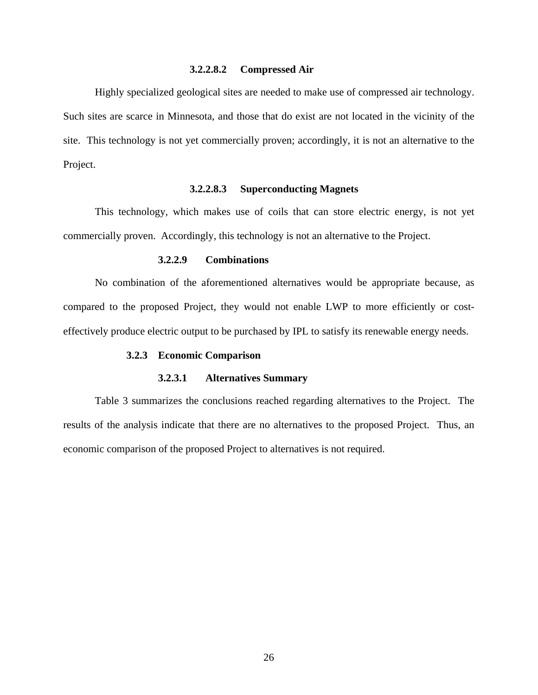### **3.2.2.8.2 Compressed Air**

Highly specialized geological sites are needed to make use of compressed air technology. Such sites are scarce in Minnesota, and those that do exist are not located in the vicinity of the site. This technology is not yet commercially proven; accordingly, it is not an alternative to the Project.

### **3.2.2.8.3 Superconducting Magnets**

This technology, which makes use of coils that can store electric energy, is not yet commercially proven. Accordingly, this technology is not an alternative to the Project.

### **3.2.2.9 Combinations**

No combination of the aforementioned alternatives would be appropriate because, as compared to the proposed Project, they would not enable LWP to more efficiently or costeffectively produce electric output to be purchased by IPL to satisfy its renewable energy needs.

#### **3.2.3 Economic Comparison**

#### **3.2.3.1 Alternatives Summary**

Table 3 summarizes the conclusions reached regarding alternatives to the Project. The results of the analysis indicate that there are no alternatives to the proposed Project. Thus, an economic comparison of the proposed Project to alternatives is not required.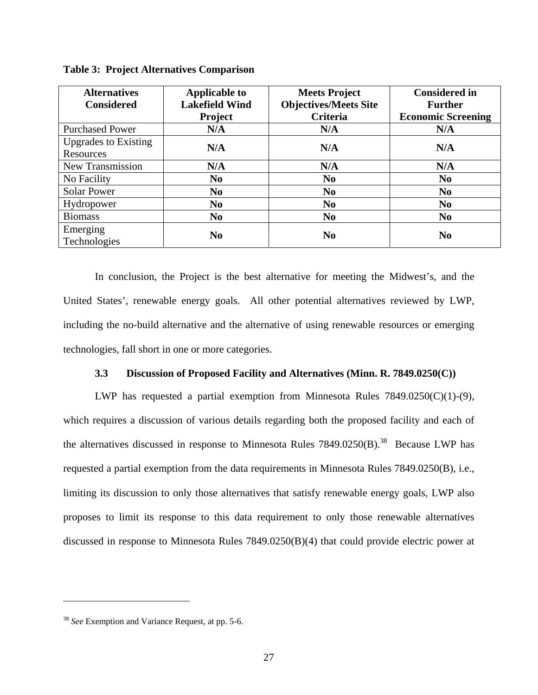|  |  |  | <b>Table 3: Project Alternatives Comparison</b> |
|--|--|--|-------------------------------------------------|
|--|--|--|-------------------------------------------------|

| <b>Alternatives</b><br><b>Considered</b> | <b>Applicable to</b><br><b>Lakefield Wind</b><br><b>Project</b> | <b>Meets Project</b><br><b>Objectives/Meets Site</b><br><b>Criteria</b> | <b>Considered in</b><br><b>Further</b><br><b>Economic Screening</b> |
|------------------------------------------|-----------------------------------------------------------------|-------------------------------------------------------------------------|---------------------------------------------------------------------|
| <b>Purchased Power</b>                   | N/A                                                             | N/A                                                                     | N/A                                                                 |
| <b>Upgrades to Existing</b><br>Resources | N/A                                                             | N/A                                                                     | N/A                                                                 |
| New Transmission                         | N/A                                                             | N/A                                                                     | N/A                                                                 |
| No Facility                              | N <sub>0</sub>                                                  | N <sub>0</sub>                                                          | N <sub>0</sub>                                                      |
| Solar Power                              | N <sub>0</sub>                                                  | N <sub>0</sub>                                                          | N <sub>0</sub>                                                      |
| Hydropower                               | N <sub>0</sub>                                                  | N <sub>0</sub>                                                          | N <sub>0</sub>                                                      |
| <b>Biomass</b>                           | N <sub>0</sub>                                                  | N <sub>o</sub>                                                          | N <sub>0</sub>                                                      |
| Emerging<br>Technologies                 | N <sub>0</sub>                                                  | N <sub>0</sub>                                                          | N <sub>0</sub>                                                      |

In conclusion, the Project is the best alternative for meeting the Midwest's, and the United States', renewable energy goals. All other potential alternatives reviewed by LWP, including the no-build alternative and the alternative of using renewable resources or emerging technologies, fall short in one or more categories.

### **3.3 Discussion of Proposed Facility and Alternatives (Minn. R. 7849.0250(C))**

LWP has requested a partial exemption from Minnesota Rules 7849.0250(C)(1)-(9), which requires a discussion of various details regarding both the proposed facility and each of the alternatives discussed in response to Minnesota Rules  $7849.0250(B)$ .<sup>38</sup> Because LWP has requested a partial exemption from the data requirements in Minnesota Rules 7849.0250(B), i.e., limiting its discussion to only those alternatives that satisfy renewable energy goals, LWP also proposes to limit its response to this data requirement to only those renewable alternatives discussed in response to Minnesota Rules 7849.0250(B)(4) that could provide electric power at

<sup>38</sup> *See* Exemption and Variance Request, at pp. 5-6.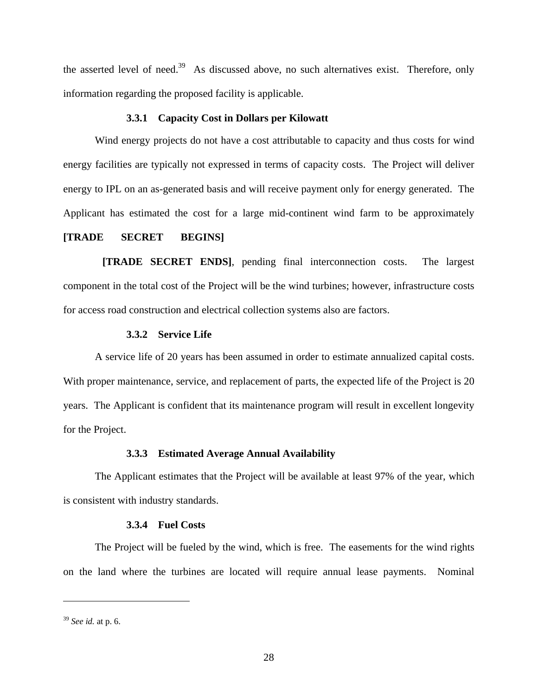the asserted level of need.<sup>39</sup> As discussed above, no such alternatives exist. Therefore, only information regarding the proposed facility is applicable.

### **3.3.1 Capacity Cost in Dollars per Kilowatt**

Wind energy projects do not have a cost attributable to capacity and thus costs for wind energy facilities are typically not expressed in terms of capacity costs. The Project will deliver energy to IPL on an as-generated basis and will receive payment only for energy generated. The Applicant has estimated the cost for a large mid-continent wind farm to be approximately

### **[TRADE SECRET BEGINS]**

 **[TRADE SECRET ENDS]**, pending final interconnection costs. The largest component in the total cost of the Project will be the wind turbines; however, infrastructure costs for access road construction and electrical collection systems also are factors.

### **3.3.2 Service Life**

A service life of 20 years has been assumed in order to estimate annualized capital costs. With proper maintenance, service, and replacement of parts, the expected life of the Project is 20 years. The Applicant is confident that its maintenance program will result in excellent longevity for the Project.

#### **3.3.3 Estimated Average Annual Availability**

The Applicant estimates that the Project will be available at least 97% of the year, which is consistent with industry standards.

#### **3.3.4 Fuel Costs**

The Project will be fueled by the wind, which is free. The easements for the wind rights on the land where the turbines are located will require annual lease payments. Nominal

<sup>39</sup> *See id.* at p. 6.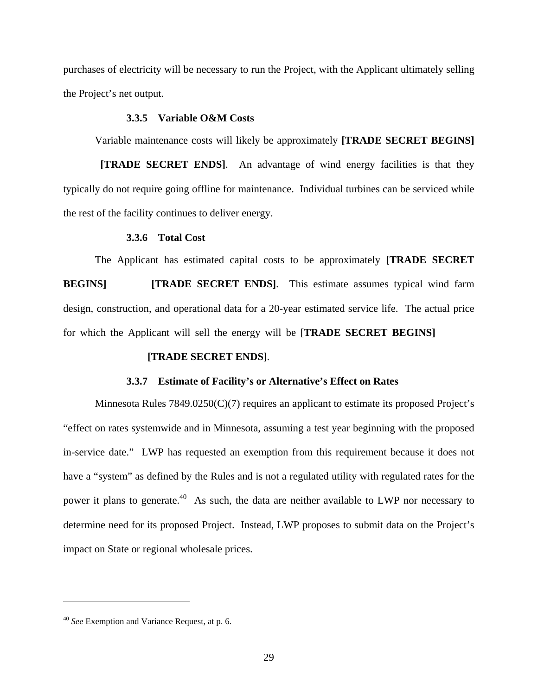purchases of electricity will be necessary to run the Project, with the Applicant ultimately selling the Project's net output.

### **3.3.5 Variable O&M Costs**

Variable maintenance costs will likely be approximately **[TRADE SECRET BEGINS]** 

**[TRADE SECRET ENDS].** An advantage of wind energy facilities is that they typically do not require going offline for maintenance. Individual turbines can be serviced while the rest of the facility continues to deliver energy.

### **3.3.6 Total Cost**

The Applicant has estimated capital costs to be approximately **[TRADE SECRET BEGINS** [TRADE SECRET ENDS]. This estimate assumes typical wind farm design, construction, and operational data for a 20-year estimated service life. The actual price for which the Applicant will sell the energy will be [**TRADE SECRET BEGINS]** 

### **[TRADE SECRET ENDS]**.

#### **3.3.7 Estimate of Facility's or Alternative's Effect on Rates**

Minnesota Rules 7849.0250(C)(7) requires an applicant to estimate its proposed Project's "effect on rates systemwide and in Minnesota, assuming a test year beginning with the proposed in-service date." LWP has requested an exemption from this requirement because it does not have a "system" as defined by the Rules and is not a regulated utility with regulated rates for the power it plans to generate.<sup>40</sup> As such, the data are neither available to LWP nor necessary to determine need for its proposed Project. Instead, LWP proposes to submit data on the Project's impact on State or regional wholesale prices.

<sup>40</sup> *See* Exemption and Variance Request, at p. 6.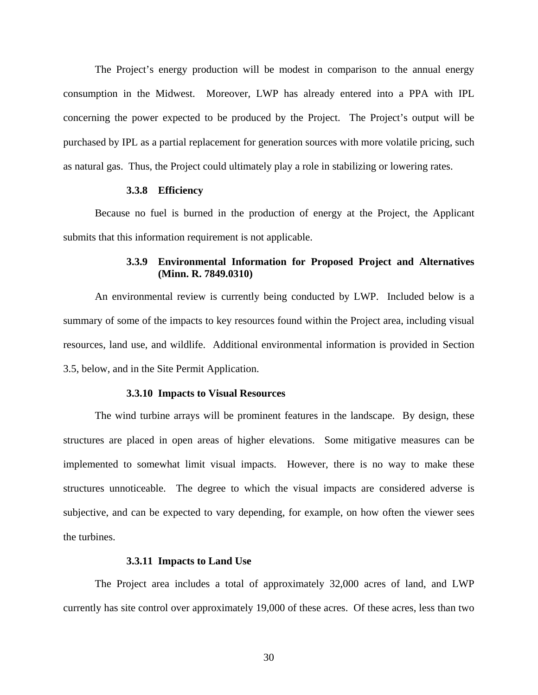The Project's energy production will be modest in comparison to the annual energy consumption in the Midwest. Moreover, LWP has already entered into a PPA with IPL concerning the power expected to be produced by the Project. The Project's output will be purchased by IPL as a partial replacement for generation sources with more volatile pricing, such as natural gas. Thus, the Project could ultimately play a role in stabilizing or lowering rates.

#### **3.3.8 Efficiency**

Because no fuel is burned in the production of energy at the Project, the Applicant submits that this information requirement is not applicable.

### **3.3.9 Environmental Information for Proposed Project and Alternatives (Minn. R. 7849.0310)**

An environmental review is currently being conducted by LWP. Included below is a summary of some of the impacts to key resources found within the Project area, including visual resources, land use, and wildlife. Additional environmental information is provided in Section 3.5, below, and in the Site Permit Application.

#### **3.3.10 Impacts to Visual Resources**

The wind turbine arrays will be prominent features in the landscape. By design, these structures are placed in open areas of higher elevations. Some mitigative measures can be implemented to somewhat limit visual impacts. However, there is no way to make these structures unnoticeable. The degree to which the visual impacts are considered adverse is subjective, and can be expected to vary depending, for example, on how often the viewer sees the turbines.

#### **3.3.11 Impacts to Land Use**

The Project area includes a total of approximately 32,000 acres of land, and LWP currently has site control over approximately 19,000 of these acres. Of these acres, less than two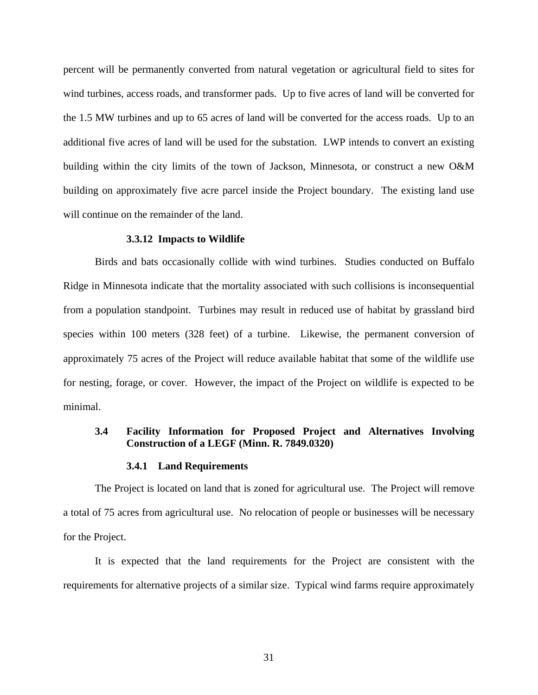percent will be permanently converted from natural vegetation or agricultural field to sites for wind turbines, access roads, and transformer pads. Up to five acres of land will be converted for the 1.5 MW turbines and up to 65 acres of land will be converted for the access roads. Up to an additional five acres of land will be used for the substation. LWP intends to convert an existing building within the city limits of the town of Jackson, Minnesota, or construct a new O&M building on approximately five acre parcel inside the Project boundary. The existing land use will continue on the remainder of the land.

#### **3.3.12 Impacts to Wildlife**

Birds and bats occasionally collide with wind turbines. Studies conducted on Buffalo Ridge in Minnesota indicate that the mortality associated with such collisions is inconsequential from a population standpoint. Turbines may result in reduced use of habitat by grassland bird species within 100 meters (328 feet) of a turbine. Likewise, the permanent conversion of approximately 75 acres of the Project will reduce available habitat that some of the wildlife use for nesting, forage, or cover. However, the impact of the Project on wildlife is expected to be minimal.

### **3.4 Facility Information for Proposed Project and Alternatives Involving Construction of a LEGF (Minn. R. 7849.0320)**

#### **3.4.1 Land Requirements**

The Project is located on land that is zoned for agricultural use. The Project will remove a total of 75 acres from agricultural use. No relocation of people or businesses will be necessary for the Project.

It is expected that the land requirements for the Project are consistent with the requirements for alternative projects of a similar size. Typical wind farms require approximately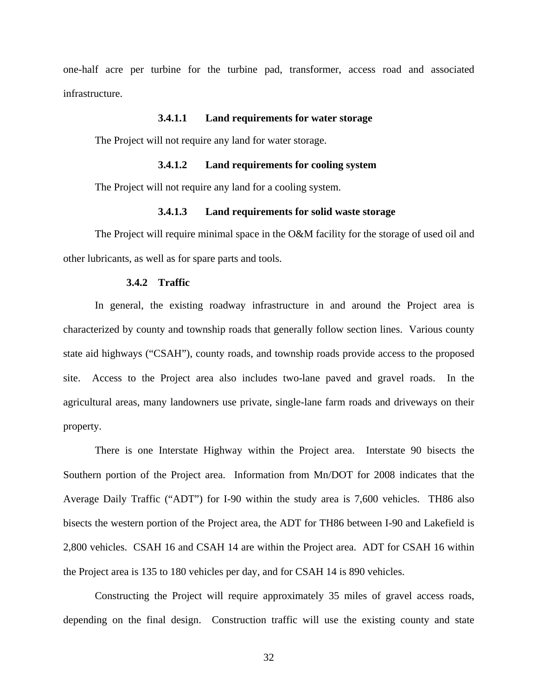one-half acre per turbine for the turbine pad, transformer, access road and associated infrastructure.

#### **3.4.1.1 Land requirements for water storage**

The Project will not require any land for water storage.

#### **3.4.1.2 Land requirements for cooling system**

The Project will not require any land for a cooling system.

### **3.4.1.3 Land requirements for solid waste storage**

The Project will require minimal space in the O&M facility for the storage of used oil and other lubricants, as well as for spare parts and tools.

#### **3.4.2 Traffic**

In general, the existing roadway infrastructure in and around the Project area is characterized by county and township roads that generally follow section lines. Various county state aid highways ("CSAH"), county roads, and township roads provide access to the proposed site. Access to the Project area also includes two-lane paved and gravel roads. In the agricultural areas, many landowners use private, single-lane farm roads and driveways on their property.

There is one Interstate Highway within the Project area. Interstate 90 bisects the Southern portion of the Project area. Information from Mn/DOT for 2008 indicates that the Average Daily Traffic ("ADT") for I-90 within the study area is 7,600 vehicles. TH86 also bisects the western portion of the Project area, the ADT for TH86 between I-90 and Lakefield is 2,800 vehicles. CSAH 16 and CSAH 14 are within the Project area. ADT for CSAH 16 within the Project area is 135 to 180 vehicles per day, and for CSAH 14 is 890 vehicles.

Constructing the Project will require approximately 35 miles of gravel access roads, depending on the final design. Construction traffic will use the existing county and state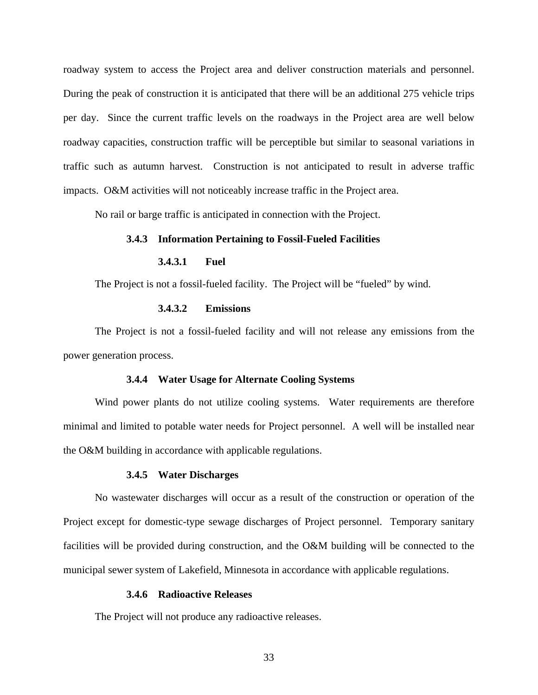roadway system to access the Project area and deliver construction materials and personnel. During the peak of construction it is anticipated that there will be an additional 275 vehicle trips per day. Since the current traffic levels on the roadways in the Project area are well below roadway capacities, construction traffic will be perceptible but similar to seasonal variations in traffic such as autumn harvest. Construction is not anticipated to result in adverse traffic impacts. O&M activities will not noticeably increase traffic in the Project area.

No rail or barge traffic is anticipated in connection with the Project.

#### **3.4.3 Information Pertaining to Fossil-Fueled Facilities**

#### **3.4.3.1 Fuel**

The Project is not a fossil-fueled facility. The Project will be "fueled" by wind.

#### **3.4.3.2 Emissions**

The Project is not a fossil-fueled facility and will not release any emissions from the power generation process.

#### **3.4.4 Water Usage for Alternate Cooling Systems**

Wind power plants do not utilize cooling systems. Water requirements are therefore minimal and limited to potable water needs for Project personnel. A well will be installed near the O&M building in accordance with applicable regulations.

#### **3.4.5 Water Discharges**

No wastewater discharges will occur as a result of the construction or operation of the Project except for domestic-type sewage discharges of Project personnel. Temporary sanitary facilities will be provided during construction, and the O&M building will be connected to the municipal sewer system of Lakefield, Minnesota in accordance with applicable regulations.

### **3.4.6 Radioactive Releases**

The Project will not produce any radioactive releases.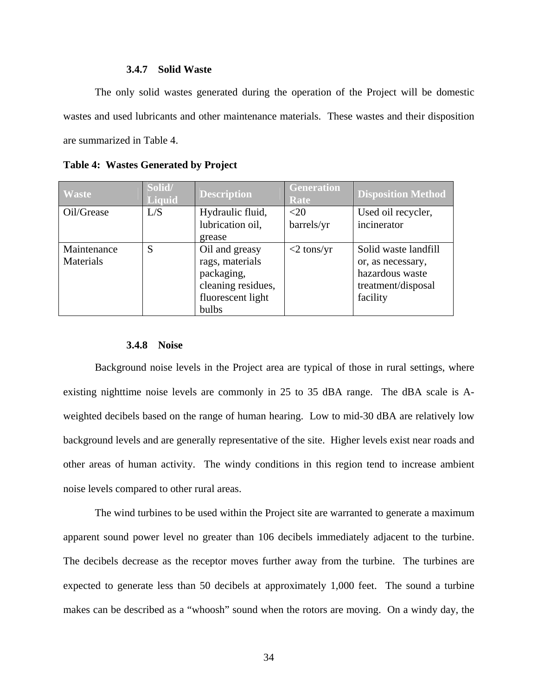### **3.4.7 Solid Waste**

The only solid wastes generated during the operation of the Project will be domestic wastes and used lubricants and other maintenance materials. These wastes and their disposition are summarized in Table 4.

| <b>Waste</b>             | Solid/<br>Liquid | <b>Description</b>                                                                                  | <b>Generation</b><br>Rate | <b>Disposition Method</b>                                                                      |
|--------------------------|------------------|-----------------------------------------------------------------------------------------------------|---------------------------|------------------------------------------------------------------------------------------------|
| Oil/Grease               | L/S              | Hydraulic fluid,                                                                                    | $<$ 20                    | Used oil recycler,                                                                             |
|                          |                  | lubrication oil,<br>grease                                                                          | barrels/yr                | incinerator                                                                                    |
| Maintenance<br>Materials | S                | Oil and greasy<br>rags, materials<br>packaging,<br>cleaning residues,<br>fluorescent light<br>bulbs | $<$ 2 tons/yr             | Solid waste landfill<br>or, as necessary,<br>hazardous waste<br>treatment/disposal<br>facility |

**Table 4: Wastes Generated by Project** 

#### **3.4.8 Noise**

Background noise levels in the Project area are typical of those in rural settings, where existing nighttime noise levels are commonly in 25 to 35 dBA range. The dBA scale is Aweighted decibels based on the range of human hearing. Low to mid-30 dBA are relatively low background levels and are generally representative of the site. Higher levels exist near roads and other areas of human activity. The windy conditions in this region tend to increase ambient noise levels compared to other rural areas.

The wind turbines to be used within the Project site are warranted to generate a maximum apparent sound power level no greater than 106 decibels immediately adjacent to the turbine. The decibels decrease as the receptor moves further away from the turbine. The turbines are expected to generate less than 50 decibels at approximately 1,000 feet. The sound a turbine makes can be described as a "whoosh" sound when the rotors are moving. On a windy day, the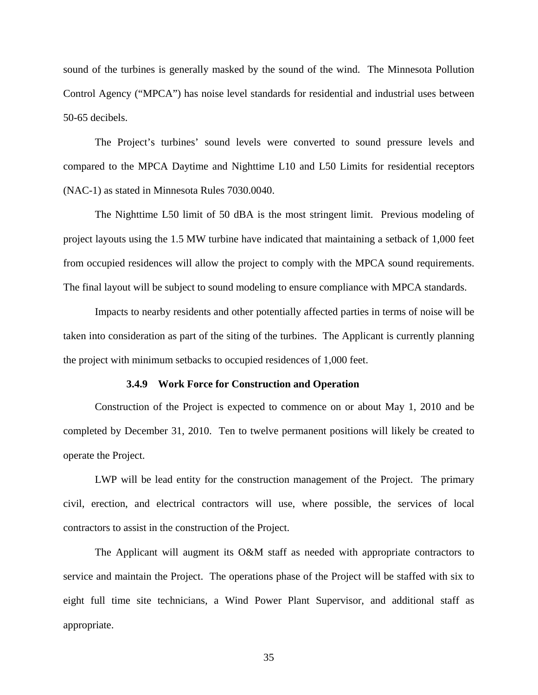sound of the turbines is generally masked by the sound of the wind. The Minnesota Pollution Control Agency ("MPCA") has noise level standards for residential and industrial uses between 50-65 decibels.

The Project's turbines' sound levels were converted to sound pressure levels and compared to the MPCA Daytime and Nighttime L10 and L50 Limits for residential receptors (NAC-1) as stated in Minnesota Rules 7030.0040.

The Nighttime L50 limit of 50 dBA is the most stringent limit. Previous modeling of project layouts using the 1.5 MW turbine have indicated that maintaining a setback of 1,000 feet from occupied residences will allow the project to comply with the MPCA sound requirements. The final layout will be subject to sound modeling to ensure compliance with MPCA standards.

Impacts to nearby residents and other potentially affected parties in terms of noise will be taken into consideration as part of the siting of the turbines. The Applicant is currently planning the project with minimum setbacks to occupied residences of 1,000 feet.

#### **3.4.9 Work Force for Construction and Operation**

Construction of the Project is expected to commence on or about May 1, 2010 and be completed by December 31, 2010. Ten to twelve permanent positions will likely be created to operate the Project.

LWP will be lead entity for the construction management of the Project. The primary civil, erection, and electrical contractors will use, where possible, the services of local contractors to assist in the construction of the Project.

The Applicant will augment its O&M staff as needed with appropriate contractors to service and maintain the Project. The operations phase of the Project will be staffed with six to eight full time site technicians, a Wind Power Plant Supervisor, and additional staff as appropriate.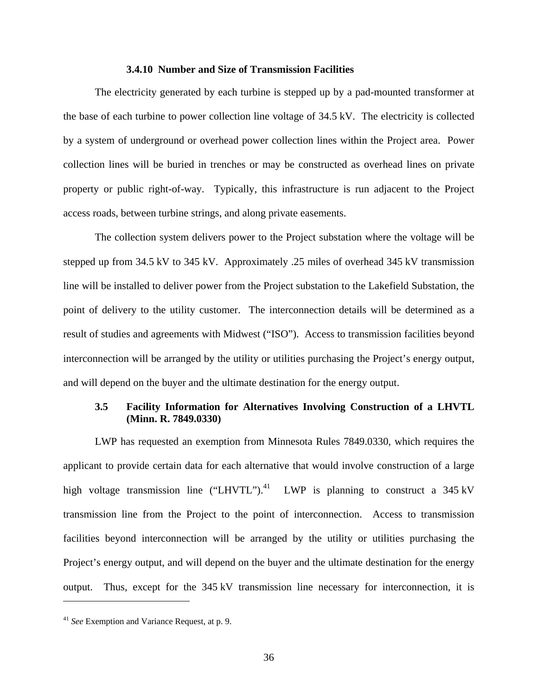#### **3.4.10 Number and Size of Transmission Facilities**

The electricity generated by each turbine is stepped up by a pad-mounted transformer at the base of each turbine to power collection line voltage of 34.5 kV. The electricity is collected by a system of underground or overhead power collection lines within the Project area. Power collection lines will be buried in trenches or may be constructed as overhead lines on private property or public right-of-way. Typically, this infrastructure is run adjacent to the Project access roads, between turbine strings, and along private easements.

The collection system delivers power to the Project substation where the voltage will be stepped up from 34.5 kV to 345 kV. Approximately .25 miles of overhead 345 kV transmission line will be installed to deliver power from the Project substation to the Lakefield Substation, the point of delivery to the utility customer. The interconnection details will be determined as a result of studies and agreements with Midwest ("ISO"). Access to transmission facilities beyond interconnection will be arranged by the utility or utilities purchasing the Project's energy output, and will depend on the buyer and the ultimate destination for the energy output.

### **3.5 Facility Information for Alternatives Involving Construction of a LHVTL (Minn. R. 7849.0330)**

LWP has requested an exemption from Minnesota Rules 7849.0330, which requires the applicant to provide certain data for each alternative that would involve construction of a large high voltage transmission line ("LHVTL").<sup>41</sup> LWP is planning to construct a  $345 \text{ kV}$ transmission line from the Project to the point of interconnection. Access to transmission facilities beyond interconnection will be arranged by the utility or utilities purchasing the Project's energy output, and will depend on the buyer and the ultimate destination for the energy output. Thus, except for the 345 kV transmission line necessary for interconnection, it is

<sup>41</sup> *See* Exemption and Variance Request, at p. 9.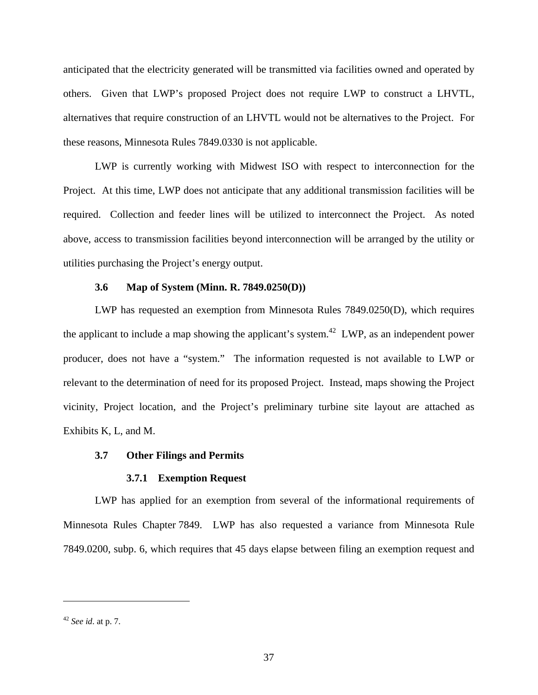anticipated that the electricity generated will be transmitted via facilities owned and operated by others. Given that LWP's proposed Project does not require LWP to construct a LHVTL, alternatives that require construction of an LHVTL would not be alternatives to the Project. For these reasons, Minnesota Rules 7849.0330 is not applicable.

LWP is currently working with Midwest ISO with respect to interconnection for the Project. At this time, LWP does not anticipate that any additional transmission facilities will be required. Collection and feeder lines will be utilized to interconnect the Project. As noted above, access to transmission facilities beyond interconnection will be arranged by the utility or utilities purchasing the Project's energy output.

### **3.6 Map of System (Minn. R. 7849.0250(D))**

LWP has requested an exemption from Minnesota Rules 7849.0250(D), which requires the applicant to include a map showing the applicant's system.<sup>42</sup> LWP, as an independent power producer, does not have a "system." The information requested is not available to LWP or relevant to the determination of need for its proposed Project. Instead, maps showing the Project vicinity, Project location, and the Project's preliminary turbine site layout are attached as Exhibits K, L, and M.

### **3.7 Other Filings and Permits**

#### **3.7.1 Exemption Request**

LWP has applied for an exemption from several of the informational requirements of Minnesota Rules Chapter 7849. LWP has also requested a variance from Minnesota Rule 7849.0200, subp. 6, which requires that 45 days elapse between filing an exemption request and

<sup>42</sup> *See id*. at p. 7.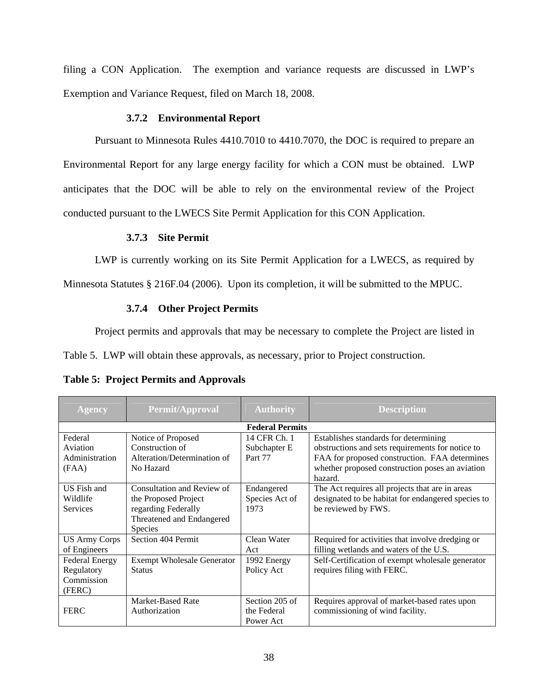filing a CON Application. The exemption and variance requests are discussed in LWP's Exemption and Variance Request, filed on March 18, 2008.

### **3.7.2 Environmental Report**

Pursuant to Minnesota Rules 4410.7010 to 4410.7070, the DOC is required to prepare an Environmental Report for any large energy facility for which a CON must be obtained. LWP anticipates that the DOC will be able to rely on the environmental review of the Project conducted pursuant to the LWECS Site Permit Application for this CON Application.

## **3.7.3 Site Permit**

LWP is currently working on its Site Permit Application for a LWECS, as required by

Minnesota Statutes § 216F.04 (2006). Upon its completion, it will be submitted to the MPUC.

## **3.7.4 Other Project Permits**

Project permits and approvals that may be necessary to complete the Project are listed in

Table 5. LWP will obtain these approvals, as necessary, prior to Project construction.

| <b>Agency</b>                                               | <b>Permit/Approval</b>                                                                                            | <b>Authority</b>                           | <b>Description</b>                                                                                                                                                                            |
|-------------------------------------------------------------|-------------------------------------------------------------------------------------------------------------------|--------------------------------------------|-----------------------------------------------------------------------------------------------------------------------------------------------------------------------------------------------|
|                                                             |                                                                                                                   | <b>Federal Permits</b>                     |                                                                                                                                                                                               |
| Federal<br>Aviation<br>Administration<br>(FAA)              | Notice of Proposed<br>Construction of<br>Alteration/Determination of<br>No Hazard                                 | 14 CFR Ch. 1<br>Subchapter E<br>Part 77    | Establishes standards for determining<br>obstructions and sets requirements for notice to<br>FAA for proposed construction. FAA determines<br>whether proposed construction poses an aviation |
| US Fish and<br>Wildlife<br><b>Services</b>                  | Consultation and Review of<br>the Proposed Project<br>regarding Federally<br>Threatened and Endangered<br>Species | Endangered<br>Species Act of<br>1973       | hazard.<br>The Act requires all projects that are in areas<br>designated to be habitat for endangered species to<br>be reviewed by FWS.                                                       |
| <b>US Army Corps</b><br>of Engineers                        | Section 404 Permit                                                                                                | Clean Water<br>Act                         | Required for activities that involve dredging or<br>filling wetlands and waters of the U.S.                                                                                                   |
| <b>Federal Energy</b><br>Regulatory<br>Commission<br>(FERC) | <b>Exempt Wholesale Generator</b><br><b>Status</b>                                                                | 1992 Energy<br>Policy Act                  | Self-Certification of exempt wholesale generator<br>requires filing with FERC.                                                                                                                |
| <b>FERC</b>                                                 | Market-Based Rate<br>Authorization                                                                                | Section 205 of<br>the Federal<br>Power Act | Requires approval of market-based rates upon<br>commissioning of wind facility.                                                                                                               |

|  |  |  |  | <b>Table 5: Project Permits and Approvals</b> |
|--|--|--|--|-----------------------------------------------|
|--|--|--|--|-----------------------------------------------|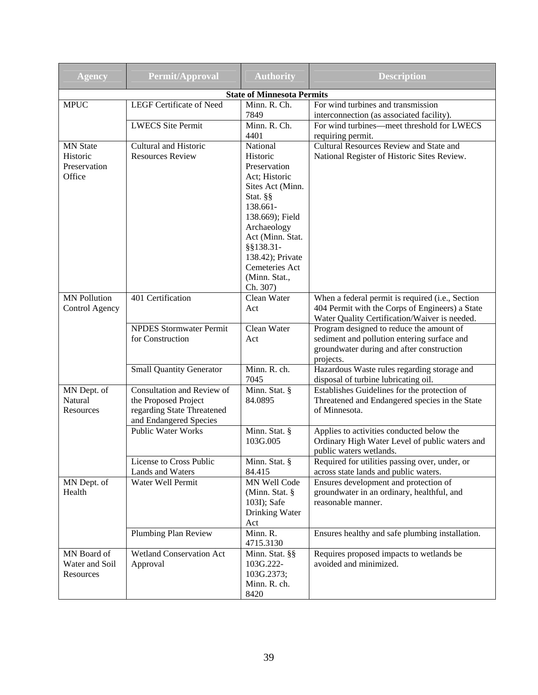| <b>Agency</b>       | Permit/Approval                                     | <b>Authority</b>      | <b>Description</b>                                                                        |  |
|---------------------|-----------------------------------------------------|-----------------------|-------------------------------------------------------------------------------------------|--|
|                     | <b>State of Minnesota Permits</b>                   |                       |                                                                                           |  |
| <b>MPUC</b>         | <b>LEGF Certificate of Need</b>                     | Minn. R. Ch.          | For wind turbines and transmission                                                        |  |
|                     |                                                     | 7849                  | interconnection (as associated facility).                                                 |  |
|                     | <b>LWECS</b> Site Permit                            | Minn. R. Ch.          | For wind turbines—meet threshold for LWECS                                                |  |
|                     |                                                     | 4401                  | requiring permit.                                                                         |  |
| <b>MN</b> State     | Cultural and Historic                               | National              | Cultural Resources Review and State and                                                   |  |
| Historic            | <b>Resources Review</b>                             | Historic              | National Register of Historic Sites Review.                                               |  |
| Preservation        |                                                     | Preservation          |                                                                                           |  |
| Office              |                                                     | Act; Historic         |                                                                                           |  |
|                     |                                                     | Sites Act (Minn.      |                                                                                           |  |
|                     |                                                     | Stat. §§<br>138.661-  |                                                                                           |  |
|                     |                                                     | 138.669); Field       |                                                                                           |  |
|                     |                                                     | Archaeology           |                                                                                           |  |
|                     |                                                     | Act (Minn. Stat.      |                                                                                           |  |
|                     |                                                     | §§138.31-             |                                                                                           |  |
|                     |                                                     | 138.42); Private      |                                                                                           |  |
|                     |                                                     | Cemeteries Act        |                                                                                           |  |
|                     |                                                     | (Minn. Stat.,         |                                                                                           |  |
|                     |                                                     | Ch. 307)              |                                                                                           |  |
| <b>MN</b> Pollution | 401 Certification                                   | Clean Water           | When a federal permit is required (i.e., Section                                          |  |
| Control Agency      |                                                     | Act                   | 404 Permit with the Corps of Engineers) a State                                           |  |
|                     | <b>NPDES Stormwater Permit</b>                      | Clean Water           | Water Quality Certification/Waiver is needed.<br>Program designed to reduce the amount of |  |
|                     | for Construction                                    | Act                   | sediment and pollution entering surface and                                               |  |
|                     |                                                     |                       | groundwater during and after construction                                                 |  |
|                     |                                                     |                       | projects.                                                                                 |  |
|                     | <b>Small Quantity Generator</b>                     | Minn. R. ch.          | Hazardous Waste rules regarding storage and                                               |  |
|                     |                                                     | 7045                  | disposal of turbine lubricating oil.                                                      |  |
| MN Dept. of         | Consultation and Review of                          | Minn. Stat. §         | Establishes Guidelines for the protection of                                              |  |
| Natural             | the Proposed Project                                | 84.0895               | Threatened and Endangered species in the State                                            |  |
| Resources           | regarding State Threatened                          |                       | of Minnesota.                                                                             |  |
|                     | and Endangered Species<br><b>Public Water Works</b> | Minn. Stat. §         | Applies to activities conducted below the                                                 |  |
|                     |                                                     | 103G.005              | Ordinary High Water Level of public waters and                                            |  |
|                     |                                                     |                       | public waters wetlands.                                                                   |  |
|                     | License to Cross Public                             | Minn. Stat. §         | Required for utilities passing over, under, or                                            |  |
|                     | Lands and Waters                                    | 84.415                | across state lands and public waters.                                                     |  |
| MN Dept. of         | Water Well Permit                                   | MN Well Code          | Ensures development and protection of                                                     |  |
| Health              |                                                     | (Minn. Stat. §        | groundwater in an ordinary, healthful, and                                                |  |
|                     |                                                     | 103I); Safe           | reasonable manner.                                                                        |  |
|                     |                                                     | Drinking Water        |                                                                                           |  |
|                     |                                                     | Act                   |                                                                                           |  |
|                     | Plumbing Plan Review                                | Minn. R.<br>4715.3130 | Ensures healthy and safe plumbing installation.                                           |  |
| MN Board of         | <b>Wetland Conservation Act</b>                     | Minn. Stat. §§        | Requires proposed impacts to wetlands be                                                  |  |
| Water and Soil      | Approval                                            | 103G.222-             | avoided and minimized.                                                                    |  |
| Resources           |                                                     | 103G.2373;            |                                                                                           |  |
|                     |                                                     | Minn. R. ch.          |                                                                                           |  |
|                     |                                                     | 8420                  |                                                                                           |  |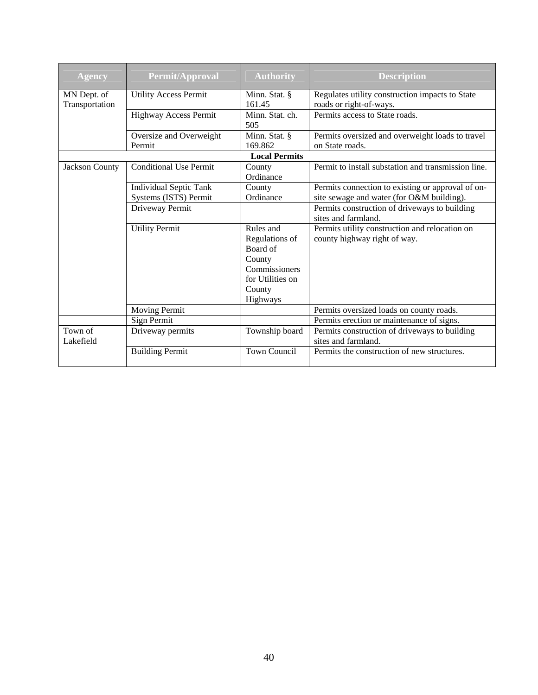| <b>Agency</b>                 | Permit/Approval               | <b>Authority</b>                                                                                             | <b>Description</b>                                                             |
|-------------------------------|-------------------------------|--------------------------------------------------------------------------------------------------------------|--------------------------------------------------------------------------------|
| MN Dept. of<br>Transportation | <b>Utility Access Permit</b>  | Minn. Stat. §<br>161.45                                                                                      | Regulates utility construction impacts to State<br>roads or right-of-ways.     |
|                               | <b>Highway Access Permit</b>  | Minn. Stat. ch.<br>505                                                                                       | Permits access to State roads.                                                 |
|                               | Oversize and Overweight       | Minn. Stat. §                                                                                                | Permits oversized and overweight loads to travel                               |
|                               | Permit                        | 169.862                                                                                                      | on State roads.                                                                |
|                               |                               | <b>Local Permits</b>                                                                                         |                                                                                |
| Jackson County                | <b>Conditional Use Permit</b> | County<br>Ordinance                                                                                          | Permit to install substation and transmission line.                            |
|                               | <b>Individual Septic Tank</b> | County                                                                                                       | Permits connection to existing or approval of on-                              |
|                               | Systems (ISTS) Permit         | Ordinance                                                                                                    | site sewage and water (for O&M building).                                      |
|                               | Driveway Permit               |                                                                                                              | Permits construction of driveways to building<br>sites and farmland.           |
|                               | <b>Utility Permit</b>         | Rules and<br>Regulations of<br>Board of<br>County<br>Commissioners<br>for Utilities on<br>County<br>Highways | Permits utility construction and relocation on<br>county highway right of way. |
|                               | <b>Moving Permit</b>          |                                                                                                              | Permits oversized loads on county roads.                                       |
|                               | Sign Permit                   |                                                                                                              | Permits erection or maintenance of signs.                                      |
| Town of<br>Lakefield          | Driveway permits              | Township board                                                                                               | Permits construction of driveways to building<br>sites and farmland.           |
|                               | <b>Building Permit</b>        | <b>Town Council</b>                                                                                          | Permits the construction of new structures.                                    |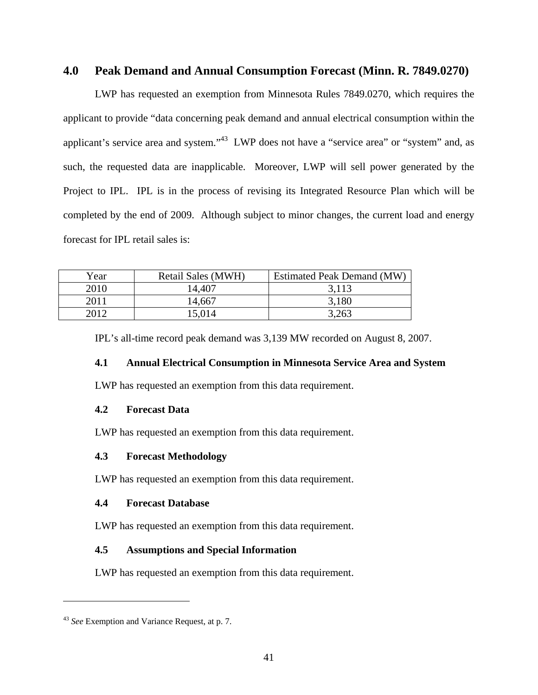## **4.0 Peak Demand and Annual Consumption Forecast (Minn. R. 7849.0270)**

LWP has requested an exemption from Minnesota Rules 7849.0270, which requires the applicant to provide "data concerning peak demand and annual electrical consumption within the applicant's service area and system."43 LWP does not have a "service area" or "system" and, as such, the requested data are inapplicable. Moreover, LWP will sell power generated by the Project to IPL. IPL is in the process of revising its Integrated Resource Plan which will be completed by the end of 2009. Although subject to minor changes, the current load and energy forecast for IPL retail sales is:

| Year | Retail Sales (MWH) | Estimated Peak Demand (MW) |
|------|--------------------|----------------------------|
| 2010 | 14,407             | 3,113                      |
| 2011 | 14,667             | 3,180                      |
| 2012 | 15,014             | 3,263                      |

IPL's all-time record peak demand was 3,139 MW recorded on August 8, 2007.

### **4.1 Annual Electrical Consumption in Minnesota Service Area and System**

LWP has requested an exemption from this data requirement.

### **4.2 Forecast Data**

LWP has requested an exemption from this data requirement.

### **4.3 Forecast Methodology**

LWP has requested an exemption from this data requirement.

### **4.4 Forecast Database**

LWP has requested an exemption from this data requirement.

### **4.5 Assumptions and Special Information**

LWP has requested an exemption from this data requirement.

<u>.</u>

<sup>43</sup> *See* Exemption and Variance Request, at p. 7.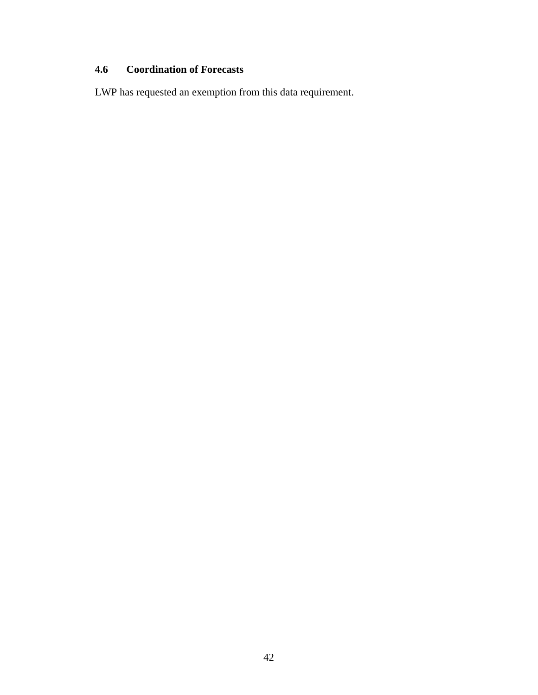## **4.6 Coordination of Forecasts**

LWP has requested an exemption from this data requirement.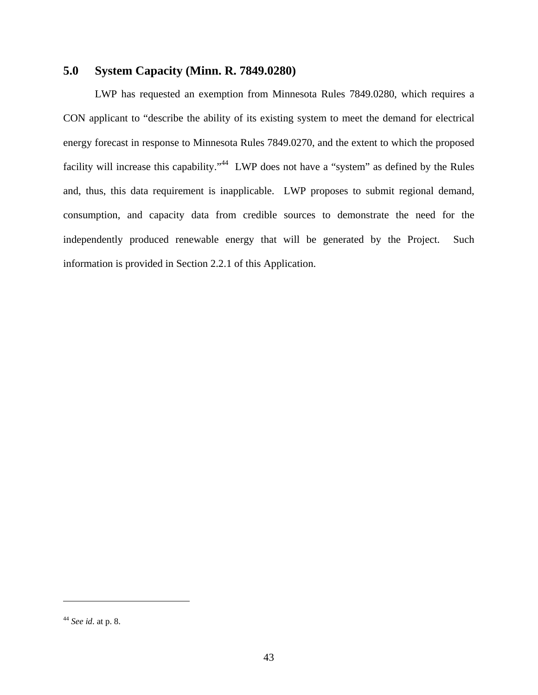## **5.0 System Capacity (Minn. R. 7849.0280)**

LWP has requested an exemption from Minnesota Rules 7849.0280, which requires a CON applicant to "describe the ability of its existing system to meet the demand for electrical energy forecast in response to Minnesota Rules 7849.0270, and the extent to which the proposed facility will increase this capability."<sup>44</sup> LWP does not have a "system" as defined by the Rules and, thus, this data requirement is inapplicable. LWP proposes to submit regional demand, consumption, and capacity data from credible sources to demonstrate the need for the independently produced renewable energy that will be generated by the Project. Such information is provided in Section 2.2.1 of this Application.

<sup>44</sup> *See id*. at p. 8.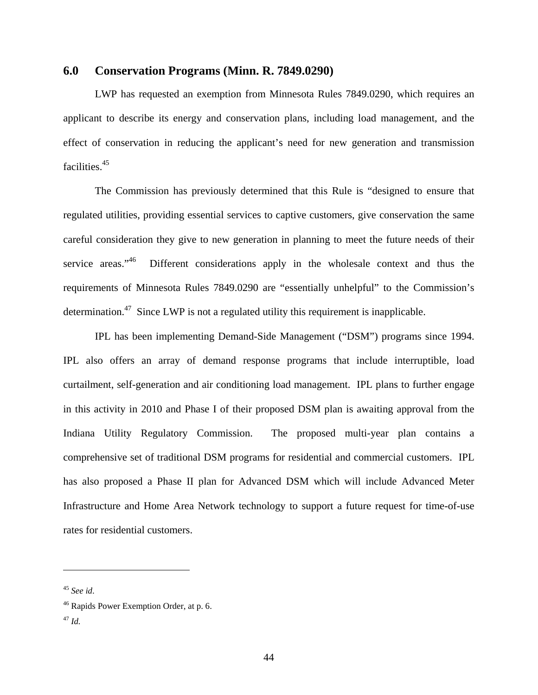### **6.0 Conservation Programs (Minn. R. 7849.0290)**

LWP has requested an exemption from Minnesota Rules 7849.0290, which requires an applicant to describe its energy and conservation plans, including load management, and the effect of conservation in reducing the applicant's need for new generation and transmission facilities.45

The Commission has previously determined that this Rule is "designed to ensure that regulated utilities, providing essential services to captive customers, give conservation the same careful consideration they give to new generation in planning to meet the future needs of their service areas."<sup>46</sup> Different considerations apply in the wholesale context and thus the requirements of Minnesota Rules 7849.0290 are "essentially unhelpful" to the Commission's determination.<sup>47</sup> Since LWP is not a regulated utility this requirement is inapplicable.

IPL has been implementing Demand-Side Management ("DSM") programs since 1994. IPL also offers an array of demand response programs that include interruptible, load curtailment, self-generation and air conditioning load management. IPL plans to further engage in this activity in 2010 and Phase I of their proposed DSM plan is awaiting approval from the Indiana Utility Regulatory Commission. The proposed multi-year plan contains a comprehensive set of traditional DSM programs for residential and commercial customers. IPL has also proposed a Phase II plan for Advanced DSM which will include Advanced Meter Infrastructure and Home Area Network technology to support a future request for time-of-use rates for residential customers.

<sup>45</sup> *See id*.

 $46$  Rapids Power Exemption Order, at p. 6.

<sup>47</sup> *Id.*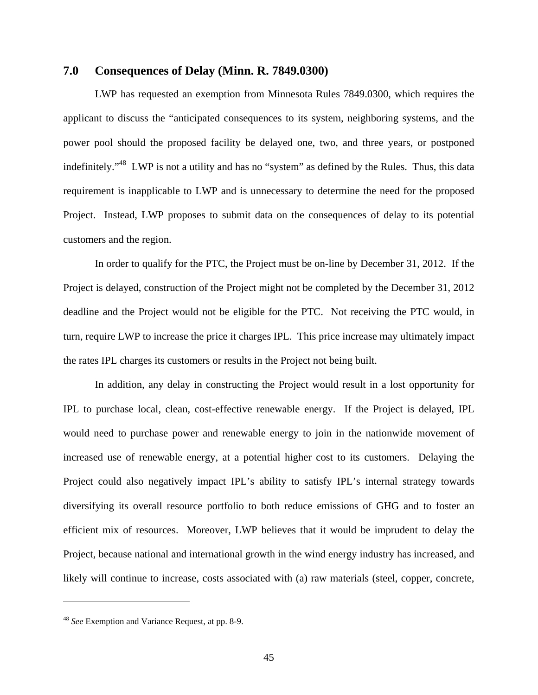### **7.0 Consequences of Delay (Minn. R. 7849.0300)**

LWP has requested an exemption from Minnesota Rules 7849.0300, which requires the applicant to discuss the "anticipated consequences to its system, neighboring systems, and the power pool should the proposed facility be delayed one, two, and three years, or postponed indefinitely."48 LWP is not a utility and has no "system" as defined by the Rules. Thus, this data requirement is inapplicable to LWP and is unnecessary to determine the need for the proposed Project. Instead, LWP proposes to submit data on the consequences of delay to its potential customers and the region.

In order to qualify for the PTC, the Project must be on-line by December 31, 2012. If the Project is delayed, construction of the Project might not be completed by the December 31, 2012 deadline and the Project would not be eligible for the PTC. Not receiving the PTC would, in turn, require LWP to increase the price it charges IPL. This price increase may ultimately impact the rates IPL charges its customers or results in the Project not being built.

In addition, any delay in constructing the Project would result in a lost opportunity for IPL to purchase local, clean, cost-effective renewable energy. If the Project is delayed, IPL would need to purchase power and renewable energy to join in the nationwide movement of increased use of renewable energy, at a potential higher cost to its customers. Delaying the Project could also negatively impact IPL's ability to satisfy IPL's internal strategy towards diversifying its overall resource portfolio to both reduce emissions of GHG and to foster an efficient mix of resources. Moreover, LWP believes that it would be imprudent to delay the Project, because national and international growth in the wind energy industry has increased, and likely will continue to increase, costs associated with (a) raw materials (steel, copper, concrete,

<sup>48</sup> *See* Exemption and Variance Request, at pp. 8-9.